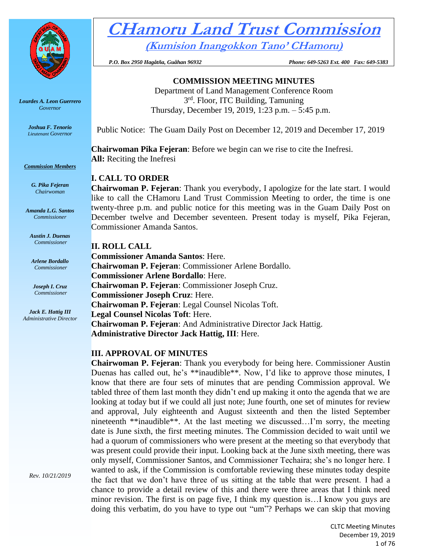

*Lourdes A. Leon Guerrero Governor*

> *Joshua F. Tenorio Lieutenant Governor*

*Commission Members*

*G. Pika Fejeran Chairwoman*

*Amanda L.G. Santos Commissioner*

*Austin J. Duenas Commissioner*

*Arlene Bordallo Commissioner*

*Joseph I. Cruz Commissioner*

*Jack E. Hattig III Administrative Director*

# **CHamoru Land Trust Commission (Kumision Inangokkon Tano' CHamoru)**

 *P.O. Box 2950 Hagåtña, Guåhan 96932 Phone: 649-5263 Ext. 400 Fax: 649-5383*

**COMMISSION MEETING MINUTES**

Department of Land Management Conference Room 3rd. Floor, ITC Building, Tamuning Thursday, December 19, 2019, 1:23 p.m. – 5:45 p.m.

Public Notice: The Guam Daily Post on December 12, 2019 and December 17, 2019

**Chairwoman Pika Fejeran**: Before we begin can we rise to cite the Inefresi. **All:** Reciting the Inefresi

# **I. CALL TO ORDER**

**Chairwoman P. Fejeran**: Thank you everybody, I apologize for the late start. I would like to call the CHamoru Land Trust Commission Meeting to order, the time is one twenty-three p.m. and public notice for this meeting was in the Guam Daily Post on December twelve and December seventeen. Present today is myself, Pika Fejeran, Commissioner Amanda Santos.

**II. ROLL CALL Commissioner Amanda Santos**: Here. **Chairwoman P. Fejeran**: Commissioner Arlene Bordallo. **Commissioner Arlene Bordallo**: Here. **Chairwoman P. Fejeran**: Commissioner Joseph Cruz. **Commissioner Joseph Cruz**: Here. **Chairwoman P. Fejeran**: Legal Counsel Nicolas Toft. **Legal Counsel Nicolas Toft**: Here. **Chairwoman P. Fejeran**: And Administrative Director Jack Hattig. **Administrative Director Jack Hattig, III**: Here.

# **III. APPROVAL OF MINUTES**

**Chairwoman P. Fejeran**: Thank you everybody for being here. Commissioner Austin Duenas has called out, he's \*\*inaudible\*\*. Now, I'd like to approve those minutes, I know that there are four sets of minutes that are pending Commission approval. We tabled three of them last month they didn't end up making it onto the agenda that we are looking at today but if we could all just note; June fourth, one set of minutes for review and approval, July eighteenth and August sixteenth and then the listed September nineteenth \*\*inaudible\*\*. At the last meeting we discussed…I'm sorry, the meeting date is June sixth, the first meeting minutes. The Commission decided to wait until we had a quorum of commissioners who were present at the meeting so that everybody that was present could provide their input. Looking back at the June sixth meeting, there was only myself, Commissioner Santos, and Commissioner Techaira; she's no longer here. I wanted to ask, if the Commission is comfortable reviewing these minutes today despite the fact that we don't have three of us sitting at the table that were present. I had a chance to provide a detail review of this and there were three areas that I think need minor revision. The first is on page five, I think my question is…I know you guys are doing this verbatim, do you have to type out "um"? Perhaps we can skip that moving

*Rev. 10/21/2019*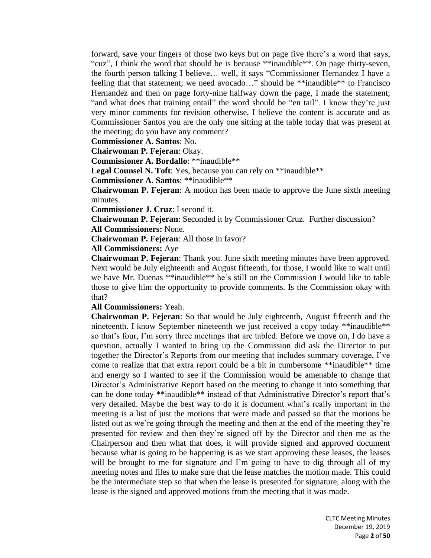forward, save your fingers of those two keys but on page five there's a word that says, "cuz", I think the word that should be is because \*\*inaudible\*\*. On page thirty-seven, the fourth person talking I believe… well, it says "Commissioner Hernandez I have a feeling that that statement; we need avocado…" should be \*\*inaudible\*\* to Francisco Hernandez and then on page forty-nine halfway down the page, I made the statement; "and what does that training entail" the word should be "en tail". I know they're just very minor comments for revision otherwise, I believe the content is accurate and as Commissioner Santos you are the only one sitting at the table today that was present at the meeting; do you have any comment?

**Commissioner A. Santos**: No.

**Chairwoman P. Fejeran**: Okay.

**Commissioner A. Bordallo**: \*\*inaudible\*\*

Legal Counsel N. Toft: Yes, because you can rely on \*\*inaudible\*\*

**Commissioner A. Santos**: \*\*inaudible\*\*

**Chairwoman P. Fejeran**: A motion has been made to approve the June sixth meeting minutes.

**Commissioner J. Cruz**: I second it.

**Chairwoman P. Fejeran**: Seconded it by Commissioner Cruz. Further discussion? **All Commissioners:** None.

**Chairwoman P. Fejeran**: All those in favor?

**All Commissioners:** Aye

**Chairwoman P. Fejeran**: Thank you. June sixth meeting minutes have been approved. Next would be July eighteenth and August fifteenth, for those, I would like to wait until we have Mr. Duenas \*\*inaudible\*\* he's still on the Commission I would like to table those to give him the opportunity to provide comments. Is the Commission okay with that?

**All Commissioners:** Yeah.

**Chairwoman P. Fejeran**: So that would be July eighteenth, August fifteenth and the nineteenth. I know September nineteenth we just received a copy today \*\*inaudible\*\* so that's four, I'm sorry three meetings that are tabled. Before we move on, I do have a question, actually I wanted to bring up the Commission did ask the Director to put together the Director's Reports from our meeting that includes summary coverage, I've come to realize that that extra report could be a bit in cumbersome \*\*inaudible\*\* time and energy so I wanted to see if the Commission would be amenable to change that Director's Administrative Report based on the meeting to change it into something that can be done today \*\*inaudible\*\* instead of that Administrative Director's report that's very detailed. Maybe the best way to do it is document what's really important in the meeting is a list of just the motions that were made and passed so that the motions be listed out as we're going through the meeting and then at the end of the meeting they're presented for review and then they're signed off by the Director and then me as the Chairperson and then what that does, it will provide signed and approved document because what is going to be happening is as we start approving these leases, the leases will be brought to me for signature and I'm going to have to dig through all of my meeting notes and files to make sure that the lease matches the motion made. This could be the intermediate step so that when the lease is presented for signature, along with the lease is the signed and approved motions from the meeting that it was made.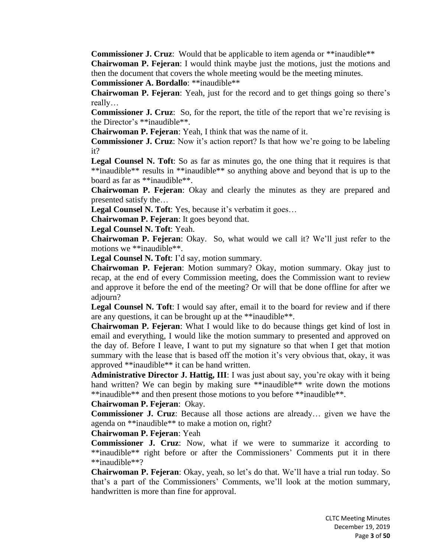**Commissioner J. Cruz**: Would that be applicable to item agenda or \*\*inaudible\*\* **Chairwoman P. Fejeran**: I would think maybe just the motions, just the motions and then the document that covers the whole meeting would be the meeting minutes.

**Commissioner A. Bordallo**: \*\*inaudible\*\*

**Chairwoman P. Fejeran**: Yeah, just for the record and to get things going so there's really…

**Commissioner J. Cruz**: So, for the report, the title of the report that we're revising is the Director's \*\*inaudible\*\*.

**Chairwoman P. Fejeran**: Yeah, I think that was the name of it.

**Commissioner J. Cruz**: Now it's action report? Is that how we're going to be labeling it?

**Legal Counsel N. Toft**: So as far as minutes go, the one thing that it requires is that \*\*inaudible\*\* results in \*\*inaudible\*\* so anything above and beyond that is up to the board as far as \*\*inaudible\*\*.

**Chairwoman P. Fejeran**: Okay and clearly the minutes as they are prepared and presented satisfy the…

Legal Counsel N. Toft: Yes, because it's verbatim it goes...

**Chairwoman P. Fejeran**: It goes beyond that.

**Legal Counsel N. Toft**: Yeah.

**Chairwoman P. Fejeran**: Okay. So, what would we call it? We'll just refer to the motions we \*\*inaudible\*\*.

**Legal Counsel N. Toft**: I'd say, motion summary.

**Chairwoman P. Fejeran**: Motion summary? Okay, motion summary. Okay just to recap, at the end of every Commission meeting, does the Commission want to review and approve it before the end of the meeting? Or will that be done offline for after we adjourn?

**Legal Counsel N. Toft**: I would say after, email it to the board for review and if there are any questions, it can be brought up at the \*\*inaudible\*\*.

**Chairwoman P. Fejeran**: What I would like to do because things get kind of lost in email and everything, I would like the motion summary to presented and approved on the day of. Before I leave, I want to put my signature so that when I get that motion summary with the lease that is based off the motion it's very obvious that, okay, it was approved \*\*inaudible\*\* it can be hand written.

**Administrative Director J. Hattig, III**: I was just about say, you're okay with it being hand written? We can begin by making sure \*\*inaudible\*\* write down the motions \*\*inaudible\*\* and then present those motions to you before \*\*inaudible\*\*.

## **Chairwoman P. Fejeran**: Okay.

**Commissioner J. Cruz**: Because all those actions are already… given we have the agenda on \*\*inaudible\*\* to make a motion on, right?

#### **Chairwoman P. Fejeran**: Yeah

**Commissioner J. Cruz**: Now, what if we were to summarize it according to \*\*inaudible\*\* right before or after the Commissioners' Comments put it in there \*\*inaudible\*\*?

**Chairwoman P. Fejeran**: Okay, yeah, so let's do that. We'll have a trial run today. So that's a part of the Commissioners' Comments, we'll look at the motion summary, handwritten is more than fine for approval.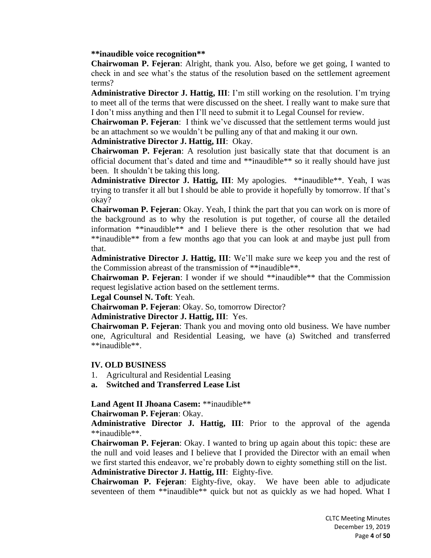#### **\*\*inaudible voice recognition\*\***

**Chairwoman P. Fejeran**: Alright, thank you. Also, before we get going, I wanted to check in and see what's the status of the resolution based on the settlement agreement terms?

**Administrative Director J. Hattig, III**: I'm still working on the resolution. I'm trying to meet all of the terms that were discussed on the sheet. I really want to make sure that I don't miss anything and then I'll need to submit it to Legal Counsel for review.

**Chairwoman P. Fejeran**: I think we've discussed that the settlement terms would just be an attachment so we wouldn't be pulling any of that and making it our own.

#### **Administrative Director J. Hattig, III**: Okay.

**Chairwoman P. Fejeran**: A resolution just basically state that that document is an official document that's dated and time and \*\*inaudible\*\* so it really should have just been. It shouldn't be taking this long.

**Administrative Director J. Hattig, III**: My apologies. \*\*inaudible\*\*. Yeah, I was trying to transfer it all but I should be able to provide it hopefully by tomorrow. If that's okay?

**Chairwoman P. Fejeran**: Okay. Yeah, I think the part that you can work on is more of the background as to why the resolution is put together, of course all the detailed information \*\*inaudible\*\* and I believe there is the other resolution that we had \*\*inaudible\*\* from a few months ago that you can look at and maybe just pull from that.

**Administrative Director J. Hattig, III**: We'll make sure we keep you and the rest of the Commission abreast of the transmission of \*\*inaudible\*\*.

**Chairwoman P. Fejeran**: I wonder if we should \*\*inaudible\*\* that the Commission request legislative action based on the settlement terms.

**Legal Counsel N. Toft**: Yeah.

**Chairwoman P. Fejeran**: Okay. So, tomorrow Director?

## **Administrative Director J. Hattig, III**: Yes.

**Chairwoman P. Fejeran**: Thank you and moving onto old business. We have number one, Agricultural and Residential Leasing, we have (a) Switched and transferred \*\*inaudible\*\*.

## **IV. OLD BUSINESS**

- 1. Agricultural and Residential Leasing
- **a. Switched and Transferred Lease List**

## **Land Agent II Jhoana Casem:** \*\*inaudible\*\*

**Chairwoman P. Fejeran**: Okay.

**Administrative Director J. Hattig, III**: Prior to the approval of the agenda \*\*inaudible\*\*.

**Chairwoman P. Fejeran**: Okay. I wanted to bring up again about this topic: these are the null and void leases and I believe that I provided the Director with an email when we first started this endeavor, we're probably down to eighty something still on the list.

#### **Administrative Director J. Hattig, III**: Eighty-five.

**Chairwoman P. Fejeran**: Eighty-five, okay. We have been able to adjudicate seventeen of them \*\*inaudible\*\* quick but not as quickly as we had hoped. What I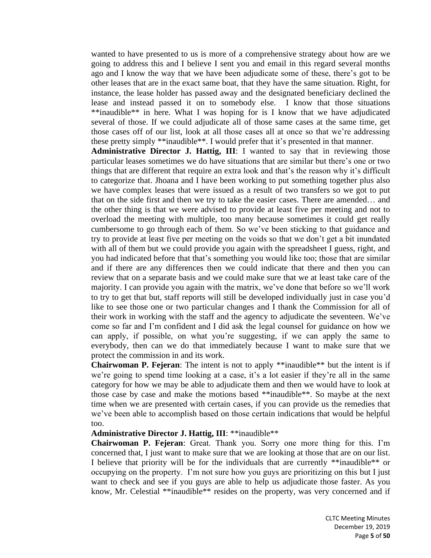wanted to have presented to us is more of a comprehensive strategy about how are we going to address this and I believe I sent you and email in this regard several months ago and I know the way that we have been adjudicate some of these, there's got to be other leases that are in the exact same boat, that they have the same situation. Right, for instance, the lease holder has passed away and the designated beneficiary declined the lease and instead passed it on to somebody else. I know that those situations \*\*inaudible\*\* in here. What I was hoping for is I know that we have adjudicated several of those. If we could adjudicate all of those same cases at the same time, get those cases off of our list, look at all those cases all at once so that we're addressing these pretty simply \*\*inaudible\*\*. I would prefer that it's presented in that manner.

**Administrative Director J. Hattig, III**: I wanted to say that in reviewing those particular leases sometimes we do have situations that are similar but there's one or two things that are different that require an extra look and that's the reason why it's difficult to categorize that. Jhoana and I have been working to put something together plus also we have complex leases that were issued as a result of two transfers so we got to put that on the side first and then we try to take the easier cases. There are amended… and the other thing is that we were advised to provide at least five per meeting and not to overload the meeting with multiple, too many because sometimes it could get really cumbersome to go through each of them. So we've been sticking to that guidance and try to provide at least five per meeting on the voids so that we don't get a bit inundated with all of them but we could provide you again with the spreadsheet I guess, right, and you had indicated before that that's something you would like too; those that are similar and if there are any differences then we could indicate that there and then you can review that on a separate basis and we could make sure that we at least take care of the majority. I can provide you again with the matrix, we've done that before so we'll work to try to get that but, staff reports will still be developed individually just in case you'd like to see those one or two particular changes and I thank the Commission for all of their work in working with the staff and the agency to adjudicate the seventeen. We've come so far and I'm confident and I did ask the legal counsel for guidance on how we can apply, if possible, on what you're suggesting, if we can apply the same to everybody, then can we do that immediately because I want to make sure that we protect the commission in and its work.

**Chairwoman P. Fejeran**: The intent is not to apply \*\*inaudible\*\* but the intent is if we're going to spend time looking at a case, it's a lot easier if they're all in the same category for how we may be able to adjudicate them and then we would have to look at those case by case and make the motions based \*\*inaudible\*\*. So maybe at the next time when we are presented with certain cases, if you can provide us the remedies that we've been able to accomplish based on those certain indications that would be helpful too.

#### **Administrative Director J. Hattig, III**: \*\*inaudible\*\*

**Chairwoman P. Fejeran**: Great. Thank you. Sorry one more thing for this. I'm concerned that, I just want to make sure that we are looking at those that are on our list. I believe that priority will be for the individuals that are currently \*\*inaudible\*\* or occupying on the property. I'm not sure how you guys are prioritizing on this but I just want to check and see if you guys are able to help us adjudicate those faster. As you know, Mr. Celestial \*\*inaudible\*\* resides on the property, was very concerned and if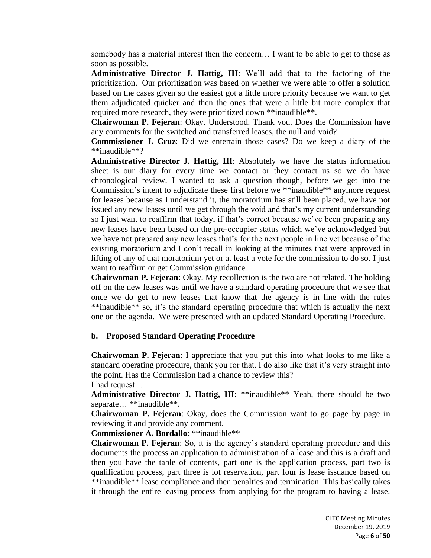somebody has a material interest then the concern… I want to be able to get to those as soon as possible.

**Administrative Director J. Hattig, III**: We'll add that to the factoring of the prioritization. Our prioritization was based on whether we were able to offer a solution based on the cases given so the easiest got a little more priority because we want to get them adjudicated quicker and then the ones that were a little bit more complex that required more research, they were prioritized down \*\*inaudible\*\*.

**Chairwoman P. Fejeran**: Okay. Understood. Thank you. Does the Commission have any comments for the switched and transferred leases, the null and void?

**Commissioner J. Cruz**: Did we entertain those cases? Do we keep a diary of the \*\*inaudible\*\*?

**Administrative Director J. Hattig, III**: Absolutely we have the status information sheet is our diary for every time we contact or they contact us so we do have chronological review. I wanted to ask a question though, before we get into the Commission's intent to adjudicate these first before we \*\*inaudible\*\* anymore request for leases because as I understand it, the moratorium has still been placed, we have not issued any new leases until we get through the void and that's my current understanding so I just want to reaffirm that today, if that's correct because we've been preparing any new leases have been based on the pre-occupier status which we've acknowledged but we have not prepared any new leases that's for the next people in line yet because of the existing moratorium and I don't recall in looking at the minutes that were approved in lifting of any of that moratorium yet or at least a vote for the commission to do so. I just want to reaffirm or get Commission guidance.

**Chairwoman P. Fejeran**: Okay. My recollection is the two are not related. The holding off on the new leases was until we have a standard operating procedure that we see that once we do get to new leases that know that the agency is in line with the rules \*\*inaudible\*\* so, it's the standard operating procedure that which is actually the next one on the agenda. We were presented with an updated Standard Operating Procedure.

## **b. Proposed Standard Operating Procedure**

**Chairwoman P. Fejeran**: I appreciate that you put this into what looks to me like a standard operating procedure, thank you for that. I do also like that it's very straight into the point. Has the Commission had a chance to review this? I had request…

**Administrative Director J. Hattig, III**: \*\*inaudible\*\* Yeah, there should be two separate… \*\*inaudible\*\*.

**Chairwoman P. Fejeran**: Okay, does the Commission want to go page by page in reviewing it and provide any comment.

**Commissioner A. Bordallo**: \*\*inaudible\*\*

**Chairwoman P. Fejeran**: So, it is the agency's standard operating procedure and this documents the process an application to administration of a lease and this is a draft and then you have the table of contents, part one is the application process, part two is qualification process, part three is lot reservation, part four is lease issuance based on \*\*inaudible\*\* lease compliance and then penalties and termination. This basically takes it through the entire leasing process from applying for the program to having a lease.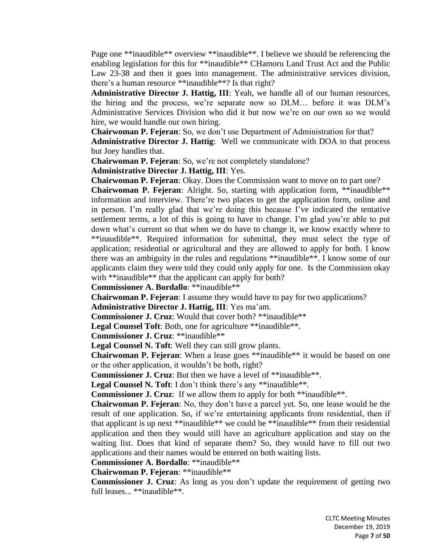Page one \*\*inaudible\*\* overview \*\*inaudible\*\*. I believe we should be referencing the enabling legislation for this for \*\*inaudible\*\* CHamoru Land Trust Act and the Public Law 23-38 and then it goes into management. The administrative services division, there's a human resource \*\*inaudible\*\*? Is that right?

**Administrative Director J. Hattig, III**: Yeah, we handle all of our human resources, the hiring and the process, we're separate now so DLM… before it was DLM's Administrative Services Division who did it but now we're on our own so we would hire, we would handle our own hiring.

**Chairwoman P. Fejeran**: So, we don't use Department of Administration for that? **Administrative Director J. Hattig**: Well we communicate with DOA to that process but Joey handles that.

**Chairwoman P. Fejeran**: So, we're not completely standalone?

**Administrative Director J. Hattig, III**: Yes.

**Chairwoman P. Fejeran**: Okay. Does the Commission want to move on to part one?

**Chairwoman P. Fejeran**: Alright. So, starting with application form, \*\*inaudible\*\* information and interview. There're two places to get the application form, online and in person. I'm really glad that we're doing this because I've indicated the tentative settlement terms, a lot of this is going to have to change. I'm glad you're able to put down what's current so that when we do have to change it, we know exactly where to \*\*inaudible\*\*. Required information for submittal, they must select the type of application; residential or agricultural and they are allowed to apply for both. I know there was an ambiguity in the rules and regulations \*\*inaudible\*\*. I know some of our applicants claim they were told they could only apply for one. Is the Commission okay with \*\*inaudible\*\* that the applicant can apply for both?

**Commissioner A. Bordallo**: \*\*inaudible\*\*

**Chairwoman P. Fejeran**: I assume they would have to pay for two applications?

**Administrative Director J. Hattig, III**: Yes ma'am.

**Commissioner J. Cruz**: Would that cover both? \*\*inaudible\*\*

Legal Counsel Toft: Both, one for agriculture \*\*inaudible\*\*.

**Commissioner J. Cruz**: \*\*inaudible\*\*

**Legal Counsel N. Toft**: Well they can still grow plants.

**Chairwoman P. Fejeran**: When a lease goes \*\*inaudible\*\* it would be based on one or the other application, it wouldn't be both, right?

**Commissioner J. Cruz**: But then we have a level of \*\*inaudible\*\*.

Legal Counsel N. Toft: I don't think there's any \*\*inaudible\*\*.

**Commissioner J. Cruz**: If we allow them to apply for both \*\*inaudible\*\*.

**Chairwoman P. Fejeran**: No, they don't have a parcel yet. So, one lease would be the result of one application. So, if we're entertaining applicants from residential, then if that applicant is up next \*\*inaudible\*\* we could be \*\*inaudible\*\* from their residential application and then they would still have an agriculture application and stay on the waiting list. Does that kind of separate them? So, they would have to fill out two applications and their names would be entered on both waiting lists.

**Commissioner A. Bordallo**: \*\*inaudible\*\*

**Chairwoman P. Fejeran**: \*\*inaudible\*\*

**Commissioner J. Cruz**: As long as you don't update the requirement of getting two full leases... \*\*inaudible\*\*.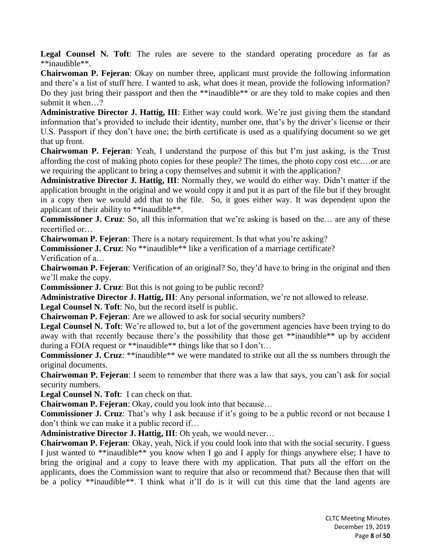**Legal Counsel N. Toft**: The rules are severe to the standard operating procedure as far as \*\*inaudible\*\*.

**Chairwoman P. Fejeran**: Okay on number three, applicant must provide the following information and there's a list of stuff here. I wanted to ask, what does it mean, provide the following information? Do they just bring their passport and then the \*\*inaudible\*\* or are they told to make copies and then submit it when…?

**Administrative Director J. Hattig, III**: Either way could work. We're just giving them the standard information that's provided to include their identity, number one, that's by the driver's license or their U.S. Passport if they don't have one; the birth certificate is used as a qualifying document so we get that up front.

**Chairwoman P. Fejeran**: Yeah, I understand the purpose of this but I'm just asking, is the Trust affording the cost of making photo copies for these people? The times, the photo copy cost etc.…or are we requiring the applicant to bring a copy themselves and submit it with the application?

**Administrative Director J. Hattig, III**: Normally they, we would do either way. Didn't matter if the application brought in the original and we would copy it and put it as part of the file but if they brought in a copy then we would add that to the file. So, it goes either way. It was dependent upon the applicant of their ability to \*\*inaudible\*\*.

**Commissioner J. Cruz**: So, all this information that we're asking is based on the… are any of these recertified or…

**Chairwoman P. Fejeran**: There is a notary requirement. Is that what you're asking?

**Commissioner J. Cruz**: No \*\*inaudible\*\* like a verification of a marriage certificate?

Verification of a…

**Chairwoman P. Fejeran**: Verification of an original? So, they'd have to bring in the original and then we'll make the copy.

**Commissioner J. Cruz**: But this is not going to be public record?

**Administrative Director J. Hattig, III**: Any personal information, we're not allowed to release.

**Legal Counsel N. Toft**: No, but the record itself is public.

**Chairwoman P. Fejeran**: Are we allowed to ask for social security numbers?

Legal Counsel N. Toft: We're allowed to, but a lot of the government agencies have been trying to do away with that recently because there's the possibility that those get \*\*inaudible\*\* up by accident during a FOIA request or \*\*inaudible\*\* things like that so I don't...

**Commissioner J. Cruz**: \*\*inaudible\*\* we were mandated to strike out all the ss numbers through the original documents.

**Chairwoman P. Fejeran**: I seem to remember that there was a law that says, you can't ask for social security numbers.

**Legal Counsel N. Toft**: I can check on that.

**Chairwoman P. Fejeran**: Okay, could you look into that because…

**Commissioner J. Cruz**: That's why I ask because if it's going to be a public record or not because I don't think we can make it a public record if…

**Administrative Director J. Hattig, III**: Oh yeah, we would never…

**Chairwoman P. Fejeran**: Okay, yeah, Nick if you could look into that with the social security. I guess I just wanted to \*\*inaudible\*\* you know when I go and I apply for things anywhere else; I have to bring the original and a copy to leave there with my application. That puts all the effort on the applicants, does the Commission want to require that also or recommend that? Because then that will be a policy \*\*inaudible\*\*. I think what it'll do is it will cut this time that the land agents are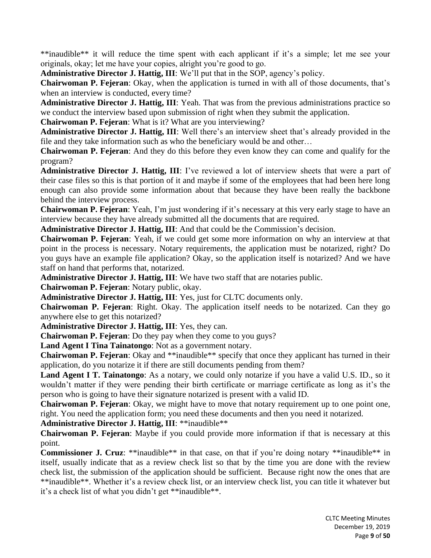\*\*inaudible\*\* it will reduce the time spent with each applicant if it's a simple; let me see your originals, okay; let me have your copies, alright you're good to go.

**Administrative Director J. Hattig, III**: We'll put that in the SOP, agency's policy.

**Chairwoman P. Fejeran**: Okay, when the application is turned in with all of those documents, that's when an interview is conducted, every time?

**Administrative Director J. Hattig, III**: Yeah. That was from the previous administrations practice so we conduct the interview based upon submission of right when they submit the application.

**Chairwoman P. Fejeran**: What is it? What are you interviewing?

**Administrative Director J. Hattig, III**: Well there's an interview sheet that's already provided in the file and they take information such as who the beneficiary would be and other…

**Chairwoman P. Fejeran**: And they do this before they even know they can come and qualify for the program?

**Administrative Director J. Hattig, III**: I've reviewed a lot of interview sheets that were a part of their case files so this is that portion of it and maybe if some of the employees that had been here long enough can also provide some information about that because they have been really the backbone behind the interview process.

**Chairwoman P. Fejeran**: Yeah, I'm just wondering if it's necessary at this very early stage to have an interview because they have already submitted all the documents that are required.

**Administrative Director J. Hattig, III**: And that could be the Commission's decision.

**Chairwoman P. Fejeran**: Yeah, if we could get some more information on why an interview at that point in the process is necessary. Notary requirements, the application must be notarized, right? Do you guys have an example file application? Okay, so the application itself is notarized? And we have staff on hand that performs that, notarized.

**Administrative Director J. Hattig, III**: We have two staff that are notaries public.

**Chairwoman P. Fejeran**: Notary public, okay.

**Administrative Director J. Hattig, III**: Yes, just for CLTC documents only.

**Chairwoman P. Fejeran**: Right. Okay. The application itself needs to be notarized. Can they go anywhere else to get this notarized?

**Administrative Director J. Hattig, III**: Yes, they can.

**Chairwoman P. Fejeran**: Do they pay when they come to you guys?

**Land Agent I Tina Tainatongo**: Not as a government notary.

**Chairwoman P. Fejeran**: Okay and \*\*inaudible\*\* specify that once they applicant has turned in their application, do you notarize it if there are still documents pending from them?

**Land Agent I T. Tainatongo**: As a notary, we could only notarize if you have a valid U.S. ID., so it wouldn't matter if they were pending their birth certificate or marriage certificate as long as it's the person who is going to have their signature notarized is present with a valid ID.

**Chairwoman P. Fejeran**: Okay, we might have to move that notary requirement up to one point one, right. You need the application form; you need these documents and then you need it notarized.

**Administrative Director J. Hattig, III**: \*\*inaudible\*\*

**Chairwoman P. Fejeran**: Maybe if you could provide more information if that is necessary at this point.

**Commissioner J. Cruz:** \*\*inaudible\*\* in that case, on that if you're doing notary \*\*inaudible\*\* in itself, usually indicate that as a review check list so that by the time you are done with the review check list, the submission of the application should be sufficient. Because right now the ones that are \*\*inaudible\*\*. Whether it's a review check list, or an interview check list, you can title it whatever but it's a check list of what you didn't get \*\*inaudible\*\*.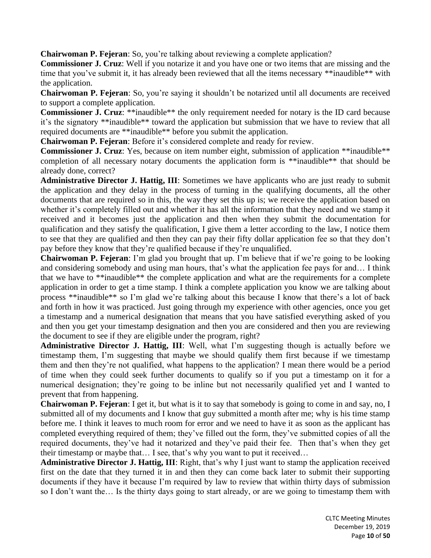**Chairwoman P. Fejeran**: So, you're talking about reviewing a complete application?

**Commissioner J. Cruz**: Well if you notarize it and you have one or two items that are missing and the time that you've submit it, it has already been reviewed that all the items necessary \*\*inaudible\*\* with the application.

**Chairwoman P. Fejeran**: So, you're saying it shouldn't be notarized until all documents are received to support a complete application.

**Commissioner J. Cruz**: \*\*inaudible\*\* the only requirement needed for notary is the ID card because it's the signatory \*\*inaudible\*\* toward the application but submission that we have to review that all required documents are \*\*inaudible\*\* before you submit the application.

**Chairwoman P. Fejeran**: Before it's considered complete and ready for review.

**Commissioner J. Cruz**: Yes, because on item number eight, submission of application \*\*inaudible\*\* completion of all necessary notary documents the application form is \*\*inaudible\*\* that should be already done, correct?

**Administrative Director J. Hattig, III**: Sometimes we have applicants who are just ready to submit the application and they delay in the process of turning in the qualifying documents, all the other documents that are required so in this, the way they set this up is; we receive the application based on whether it's completely filled out and whether it has all the information that they need and we stamp it received and it becomes just the application and then when they submit the documentation for qualification and they satisfy the qualification, I give them a letter according to the law, I notice them to see that they are qualified and then they can pay their fifty dollar application fee so that they don't pay before they know that they're qualified because if they're unqualified.

**Chairwoman P. Fejeran**: I'm glad you brought that up. I'm believe that if we're going to be looking and considering somebody and using man hours, that's what the application fee pays for and… I think that we have to \*\*inaudible\*\* the complete application and what are the requirements for a complete application in order to get a time stamp. I think a complete application you know we are talking about process \*\*inaudible\*\* so I'm glad we're talking about this because I know that there's a lot of back and forth in how it was practiced. Just going through my experience with other agencies, once you get a timestamp and a numerical designation that means that you have satisfied everything asked of you and then you get your timestamp designation and then you are considered and then you are reviewing the document to see if they are eligible under the program, right?

**Administrative Director J. Hattig, III**: Well, what I'm suggesting though is actually before we timestamp them, I'm suggesting that maybe we should qualify them first because if we timestamp them and then they're not qualified, what happens to the application? I mean there would be a period of time when they could seek further documents to qualify so if you put a timestamp on it for a numerical designation; they're going to be inline but not necessarily qualified yet and I wanted to prevent that from happening.

**Chairwoman P. Fejeran**: I get it, but what is it to say that somebody is going to come in and say, no, I submitted all of my documents and I know that guy submitted a month after me; why is his time stamp before me. I think it leaves to much room for error and we need to have it as soon as the applicant has completed everything required of them; they've filled out the form, they've submitted copies of all the required documents, they've had it notarized and they've paid their fee. Then that's when they get their timestamp or maybe that… I see, that's why you want to put it received…

**Administrative Director J. Hattig, III**: Right, that's why I just want to stamp the application received first on the date that they turned it in and then they can come back later to submit their supporting documents if they have it because I'm required by law to review that within thirty days of submission so I don't want the… Is the thirty days going to start already, or are we going to timestamp them with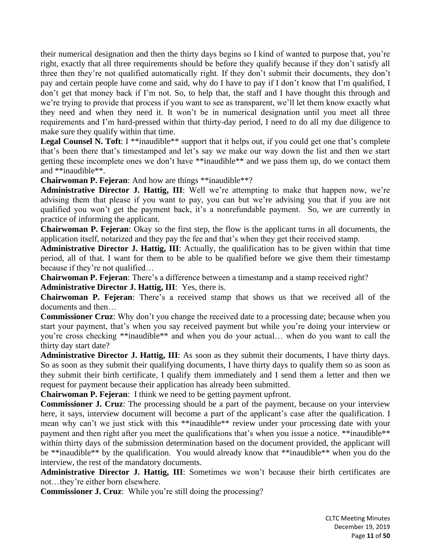their numerical designation and then the thirty days begins so I kind of wanted to purpose that, you're right, exactly that all three requirements should be before they qualify because if they don't satisfy all three then they're not qualified automatically right. If they don't submit their documents, they don't pay and certain people have come and said, why do I have to pay if I don't know that I'm qualified, I don't get that money back if I'm not. So, to help that, the staff and I have thought this through and we're trying to provide that process if you want to see as transparent, we'll let them know exactly what they need and when they need it. It won't be in numerical designation until you meet all three requirements and I'm hard-pressed within that thirty-day period, I need to do all my due diligence to make sure they qualify within that time.

Legal Counsel N. Toft: I \*\*inaudible\*\* support that it helps out, if you could get one that's complete that's been there that's timestamped and let's say we make our way down the list and then we start getting these incomplete ones we don't have \*\*inaudible\*\* and we pass them up, do we contact them and \*\*inaudible\*\*.

**Chairwoman P. Fejeran**: And how are things \*\*inaudible\*\*?

**Administrative Director J. Hattig, III**: Well we're attempting to make that happen now, we're advising them that please if you want to pay, you can but we're advising you that if you are not qualified you won't get the payment back, it's a nonrefundable payment. So, we are currently in practice of informing the applicant.

**Chairwoman P. Fejeran**: Okay so the first step, the flow is the applicant turns in all documents, the application itself, notarized and they pay the fee and that's when they get their received stamp.

**Administrative Director J. Hattig, III**: Actually, the qualification has to be given within that time period, all of that. I want for them to be able to be qualified before we give them their timestamp because if they're not qualified…

**Chairwoman P. Fejeran**: There's a difference between a timestamp and a stamp received right?

**Administrative Director J. Hattig, III**: Yes, there is.

**Chairwoman P. Fejeran**: There's a received stamp that shows us that we received all of the documents and then…

**Commissioner Cruz**: Why don't you change the received date to a processing date; because when you start your payment, that's when you say received payment but while you're doing your interview or you're cross checking \*\*inaudible\*\* and when you do your actual… when do you want to call the thirty day start date?

**Administrative Director J. Hattig, III**: As soon as they submit their documents, I have thirty days. So as soon as they submit their qualifying documents, I have thirty days to qualify them so as soon as they submit their birth certificate, I qualify them immediately and I send them a letter and then we request for payment because their application has already been submitted.

**Chairwoman P. Fejeran**: I think we need to be getting payment upfront.

**Commissioner J. Cruz**: The processing should be a part of the payment, because on your interview here, it says, interview document will become a part of the applicant's case after the qualification. I mean why can't we just stick with this \*\*inaudible\*\* review under your processing date with your payment and then right after you meet the qualifications that's when you issue a notice. \*\*inaudible\*\* within thirty days of the submission determination based on the document provided, the applicant will be \*\*inaudible\*\* by the qualification. You would already know that \*\*inaudible\*\* when you do the interview, the rest of the mandatory documents.

**Administrative Director J. Hattig, III**: Sometimes we won't because their birth certificates are not…they're either born elsewhere.

**Commissioner J. Cruz**: While you're still doing the processing?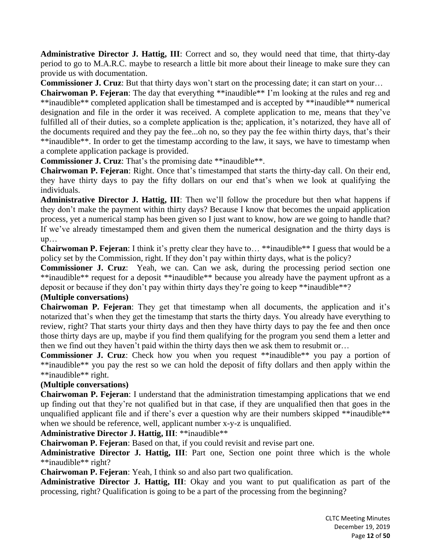**Administrative Director J. Hattig, III**: Correct and so, they would need that time, that thirty-day period to go to M.A.R.C. maybe to research a little bit more about their lineage to make sure they can provide us with documentation.

**Commissioner J. Cruz**: But that thirty days won't start on the processing date; it can start on your…

**Chairwoman P. Fejeran**: The day that everything \*\*inaudible\*\* I'm looking at the rules and reg and \*\*inaudible\*\* completed application shall be timestamped and is accepted by \*\*inaudible\*\* numerical designation and file in the order it was received. A complete application to me, means that they've fulfilled all of their duties, so a complete application is the; application, it's notarized, they have all of the documents required and they pay the fee...oh no, so they pay the fee within thirty days, that's their \*\*inaudible\*\*. In order to get the timestamp according to the law, it says, we have to timestamp when a complete application package is provided.

**Commissioner J. Cruz**: That's the promising date \*\*inaudible\*\*.

**Chairwoman P. Fejeran**: Right. Once that's timestamped that starts the thirty-day call. On their end, they have thirty days to pay the fifty dollars on our end that's when we look at qualifying the individuals.

**Administrative Director J. Hattig, III**: Then we'll follow the procedure but then what happens if they don't make the payment within thirty days? Because I know that becomes the unpaid application process, yet a numerical stamp has been given so I just want to know, how are we going to handle that? If we've already timestamped them and given them the numerical designation and the thirty days is up…

**Chairwoman P. Fejeran**: I think it's pretty clear they have to... \*\*inaudible\*\* I guess that would be a policy set by the Commission, right. If they don't pay within thirty days, what is the policy?

**Commissioner J. Cruz**: Yeah, we can. Can we ask, during the processing period section one \*\*inaudible\*\* request for a deposit \*\*inaudible\*\* because you already have the payment upfront as a deposit or because if they don't pay within thirty days they're going to keep \*\*inaudible\*\*?

## **(Multiple conversations)**

**Chairwoman P. Fejeran**: They get that timestamp when all documents, the application and it's notarized that's when they get the timestamp that starts the thirty days. You already have everything to review, right? That starts your thirty days and then they have thirty days to pay the fee and then once those thirty days are up, maybe if you find them qualifying for the program you send them a letter and then we find out they haven't paid within the thirty days then we ask them to resubmit or…

**Commissioner J. Cruz**: Check how you when you request \*\*inaudible\*\* you pay a portion of \*\*inaudible\*\* you pay the rest so we can hold the deposit of fifty dollars and then apply within the \*\*inaudible\*\* right.

# **(Multiple conversations)**

**Chairwoman P. Fejeran**: I understand that the administration timestamping applications that we end up finding out that they're not qualified but in that case, if they are unqualified then that goes in the unqualified applicant file and if there's ever a question why are their numbers skipped \*\*inaudible\*\* when we should be reference, well, applicant number x-y-z is unqualified.

**Administrative Director J. Hattig, III**: \*\*inaudible\*\*

**Chairwoman P. Fejeran**: Based on that, if you could revisit and revise part one.

**Administrative Director J. Hattig, III**: Part one, Section one point three which is the whole \*\*inaudible\*\* right?

**Chairwoman P. Fejeran**: Yeah, I think so and also part two qualification.

**Administrative Director J. Hattig, III**: Okay and you want to put qualification as part of the processing, right? Qualification is going to be a part of the processing from the beginning?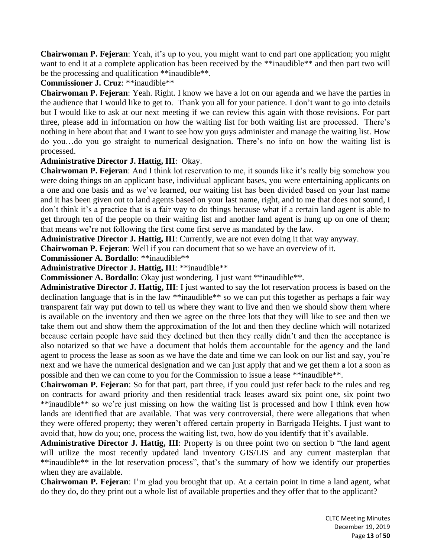**Chairwoman P. Fejeran**: Yeah, it's up to you, you might want to end part one application; you might want to end it at a complete application has been received by the \*\*inaudible\*\* and then part two will be the processing and qualification \*\*inaudible\*\*.

## **Commissioner J. Cruz**: \*\*inaudible\*\*

**Chairwoman P. Fejeran**: Yeah. Right. I know we have a lot on our agenda and we have the parties in the audience that I would like to get to. Thank you all for your patience. I don't want to go into details but I would like to ask at our next meeting if we can review this again with those revisions. For part three, please add in information on how the waiting list for both waiting list are processed. There's nothing in here about that and I want to see how you guys administer and manage the waiting list. How do you…do you go straight to numerical designation. There's no info on how the waiting list is processed.

# **Administrative Director J. Hattig, III**: Okay.

**Chairwoman P. Fejeran**: And I think lot reservation to me, it sounds like it's really big somehow you were doing things on an applicant base, individual applicant bases, you were entertaining applicants on a one and one basis and as we've learned, our waiting list has been divided based on your last name and it has been given out to land agents based on your last name, right, and to me that does not sound, I don't think it's a practice that is a fair way to do things because what if a certain land agent is able to get through ten of the people on their waiting list and another land agent is hung up on one of them; that means we're not following the first come first serve as mandated by the law.

**Administrative Director J. Hattig, III**: Currently, we are not even doing it that way anyway.

**Chairwoman P. Fejeran**: Well if you can document that so we have an overview of it.

**Commissioner A. Bordallo**: \*\*inaudible\*\*

**Administrative Director J. Hattig, III**: \*\*inaudible\*\*

**Commissioner A. Bordallo**: Okay just wondering. I just want \*\*inaudible\*\*.

**Administrative Director J. Hattig, III**: I just wanted to say the lot reservation process is based on the declination language that is in the law \*\*inaudible\*\* so we can put this together as perhaps a fair way transparent fair way put down to tell us where they want to live and then we should show them where is available on the inventory and then we agree on the three lots that they will like to see and then we take them out and show them the approximation of the lot and then they decline which will notarized because certain people have said they declined but then they really didn't and then the acceptance is also notarized so that we have a document that holds them accountable for the agency and the land agent to process the lease as soon as we have the date and time we can look on our list and say, you're next and we have the numerical designation and we can just apply that and we get them a lot a soon as possible and then we can come to you for the Commission to issue a lease \*\*inaudible\*\*.

**Chairwoman P. Fejeran**: So for that part, part three, if you could just refer back to the rules and reg on contracts for award priority and then residential track leases award six point one, six point two \*\*inaudible\*\* so we're just missing on how the waiting list is processed and how I think even how lands are identified that are available. That was very controversial, there were allegations that when they were offered property; they weren't offered certain property in Barrigada Heights. I just want to avoid that, how do you; one, process the waiting list, two, how do you identify that it's available.

**Administrative Director J. Hattig, III**: Property is on three point two on section b "the land agent will utilize the most recently updated land inventory GIS/LIS and any current masterplan that \*\*inaudible\*\* in the lot reservation process", that's the summary of how we identify our properties when they are available.

**Chairwoman P. Fejeran**: I'm glad you brought that up. At a certain point in time a land agent, what do they do, do they print out a whole list of available properties and they offer that to the applicant?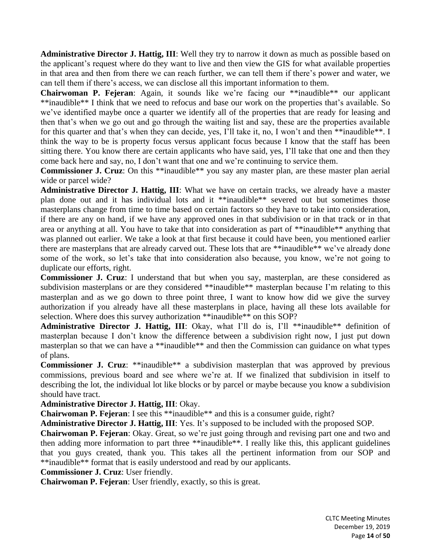**Administrative Director J. Hattig, III**: Well they try to narrow it down as much as possible based on the applicant's request where do they want to live and then view the GIS for what available properties in that area and then from there we can reach further, we can tell them if there's power and water, we can tell them if there's access, we can disclose all this important information to them.

**Chairwoman P. Fejeran**: Again, it sounds like we're facing our \*\*inaudible\*\* our applicant \*\*inaudible\*\* I think that we need to refocus and base our work on the properties that's available. So we've identified maybe once a quarter we identify all of the properties that are ready for leasing and then that's when we go out and go through the waiting list and say, these are the properties available for this quarter and that's when they can decide, yes, I'll take it, no, I won't and then \*\*inaudible\*\*. I think the way to be is property focus versus applicant focus because I know that the staff has been sitting there. You know there are certain applicants who have said, yes, I'll take that one and then they come back here and say, no, I don't want that one and we're continuing to service them.

**Commissioner J. Cruz**: On this \*\*inaudible\*\* you say any master plan, are these master plan aerial wide or parcel wide?

**Administrative Director J. Hattig, III**: What we have on certain tracks, we already have a master plan done out and it has individual lots and it \*\*inaudible\*\* severed out but sometimes those masterplans change from time to time based on certain factors so they have to take into consideration, if there are any on hand, if we have any approved ones in that subdivision or in that track or in that area or anything at all. You have to take that into consideration as part of \*\*inaudible\*\* anything that was planned out earlier. We take a look at that first because it could have been, you mentioned earlier there are masterplans that are already carved out. These lots that are \*\*inaudible\*\* we've already done some of the work, so let's take that into consideration also because, you know, we're not going to duplicate our efforts, right.

**Commissioner J. Cruz**: I understand that but when you say, masterplan, are these considered as subdivision masterplans or are they considered \*\*inaudible\*\* masterplan because I'm relating to this masterplan and as we go down to three point three, I want to know how did we give the survey authorization if you already have all these masterplans in place, having all these lots available for selection. Where does this survey authorization \*\*inaudible\*\* on this SOP?

**Administrative Director J. Hattig, III**: Okay, what I'll do is, I'll \*\*inaudible\*\* definition of masterplan because I don't know the difference between a subdivision right now, I just put down masterplan so that we can have a \*\*inaudible\*\* and then the Commission can guidance on what types of plans.

**Commissioner J. Cruz:** \*\*inaudible\*\* a subdivision masterplan that was approved by previous commissions, previous board and see where we're at. If we finalized that subdivision in itself to describing the lot, the individual lot like blocks or by parcel or maybe because you know a subdivision should have tract.

**Administrative Director J. Hattig, III**: Okay.

**Chairwoman P. Fejeran**: I see this \*\*inaudible\*\* and this is a consumer guide, right?

**Administrative Director J. Hattig, III**: Yes. It's supposed to be included with the proposed SOP.

**Chairwoman P. Fejeran**: Okay. Great, so we're just going through and revising part one and two and then adding more information to part three \*\*inaudible\*\*. I really like this, this applicant guidelines that you guys created, thank you. This takes all the pertinent information from our SOP and \*\*inaudible\*\* format that is easily understood and read by our applicants.

**Commissioner J. Cruz**: User friendly.

**Chairwoman P. Fejeran**: User friendly, exactly, so this is great.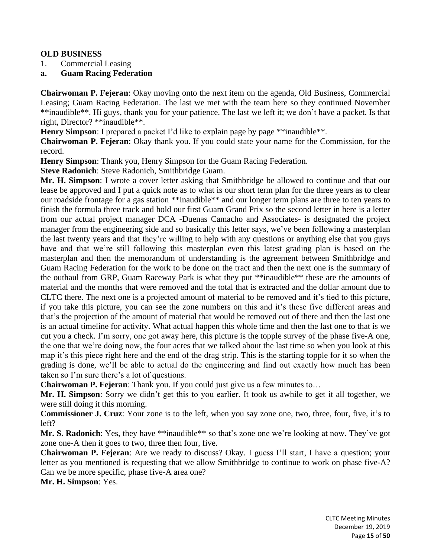## **OLD BUSINESS**

- 1. Commercial Leasing
- **a. Guam Racing Federation**

**Chairwoman P. Fejeran**: Okay moving onto the next item on the agenda, Old Business, Commercial Leasing; Guam Racing Federation. The last we met with the team here so they continued November \*\*inaudible\*\*. Hi guys, thank you for your patience. The last we left it; we don't have a packet. Is that right, Director? \*\*inaudible\*\*.

**Henry Simpson**: I prepared a packet I'd like to explain page by page \*\*inaudible\*\*.

**Chairwoman P. Fejeran**: Okay thank you. If you could state your name for the Commission, for the record.

**Henry Simpson**: Thank you, Henry Simpson for the Guam Racing Federation.

**Steve Radonich**: Steve Radonich, Smithbridge Guam.

**Mr. H. Simpson**: I wrote a cover letter asking that Smithbridge be allowed to continue and that our lease be approved and I put a quick note as to what is our short term plan for the three years as to clear our roadside frontage for a gas station \*\*inaudible\*\* and our longer term plans are three to ten years to finish the formula three track and hold our first Guam Grand Prix so the second letter in here is a letter from our actual project manager DCA -Duenas Camacho and Associates- is designated the project manager from the engineering side and so basically this letter says, we've been following a masterplan the last twenty years and that they're willing to help with any questions or anything else that you guys have and that we're still following this masterplan even this latest grading plan is based on the masterplan and then the memorandum of understanding is the agreement between Smithbridge and Guam Racing Federation for the work to be done on the tract and then the next one is the summary of the outhaul from GRP, Guam Raceway Park is what they put \*\*inaudible\*\* these are the amounts of material and the months that were removed and the total that is extracted and the dollar amount due to CLTC there. The next one is a projected amount of material to be removed and it's tied to this picture, if you take this picture, you can see the zone numbers on this and it's these five different areas and that's the projection of the amount of material that would be removed out of there and then the last one is an actual timeline for activity. What actual happen this whole time and then the last one to that is we cut you a check. I'm sorry, one got away here, this picture is the topple survey of the phase five-A one, the one that we're doing now, the four acres that we talked about the last time so when you look at this map it's this piece right here and the end of the drag strip. This is the starting topple for it so when the grading is done, we'll be able to actual do the engineering and find out exactly how much has been taken so I'm sure there's a lot of questions.

**Chairwoman P. Fejeran**: Thank you. If you could just give us a few minutes to…

**Mr. H. Simpson**: Sorry we didn't get this to you earlier. It took us awhile to get it all together, we were still doing it this morning.

**Commissioner J. Cruz**: Your zone is to the left, when you say zone one, two, three, four, five, it's to left?

**Mr. S. Radonich**: Yes, they have \*\*inaudible\*\* so that's zone one we're looking at now. They've got zone one-A then it goes to two, three then four, five.

**Chairwoman P. Fejeran**: Are we ready to discuss? Okay. I guess I'll start, I have a question; your letter as you mentioned is requesting that we allow Smithbridge to continue to work on phase five-A? Can we be more specific, phase five-A area one?

**Mr. H. Simpson**: Yes.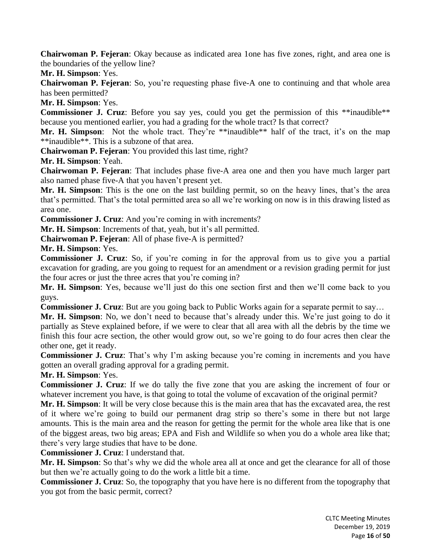**Chairwoman P. Fejeran**: Okay because as indicated area 1one has five zones, right, and area one is the boundaries of the yellow line?

**Mr. H. Simpson**: Yes.

**Chairwoman P. Fejeran**: So, you're requesting phase five-A one to continuing and that whole area has been permitted?

**Mr. H. Simpson**: Yes.

**Commissioner J. Cruz**: Before you say yes, could you get the permission of this \*\*inaudible\*\* because you mentioned earlier, you had a grading for the whole tract? Is that correct?

Mr. H. Simpson: Not the whole tract. They're \*\*inaudible\*\* half of the tract, it's on the map \*\*inaudible\*\*. This is a subzone of that area.

**Chairwoman P. Fejeran**: You provided this last time, right?

**Mr. H. Simpson**: Yeah.

**Chairwoman P. Fejeran**: That includes phase five-A area one and then you have much larger part also named phase five-A that you haven't present yet.

**Mr. H. Simpson**: This is the one on the last building permit, so on the heavy lines, that's the area that's permitted. That's the total permitted area so all we're working on now is in this drawing listed as area one.

**Commissioner J. Cruz**: And you're coming in with increments?

**Mr. H. Simpson**: Increments of that, yeah, but it's all permitted.

**Chairwoman P. Fejeran**: All of phase five-A is permitted?

**Mr. H. Simpson**: Yes.

**Commissioner J. Cruz**: So, if you're coming in for the approval from us to give you a partial excavation for grading, are you going to request for an amendment or a revision grading permit for just the four acres or just the three acres that you're coming in?

**Mr. H. Simpson**: Yes, because we'll just do this one section first and then we'll come back to you guys.

**Commissioner J. Cruz**: But are you going back to Public Works again for a separate permit to say...

**Mr. H. Simpson**: No, we don't need to because that's already under this. We're just going to do it partially as Steve explained before, if we were to clear that all area with all the debris by the time we finish this four acre section, the other would grow out, so we're going to do four acres then clear the other one, get it ready.

**Commissioner J. Cruz**: That's why I'm asking because you're coming in increments and you have gotten an overall grading approval for a grading permit.

**Mr. H. Simpson**: Yes.

**Commissioner J. Cruz**: If we do tally the five zone that you are asking the increment of four or whatever increment you have, is that going to total the volume of excavation of the original permit?

**Mr. H. Simpson**: It will be very close because this is the main area that has the excavated area, the rest of it where we're going to build our permanent drag strip so there's some in there but not large amounts. This is the main area and the reason for getting the permit for the whole area like that is one of the biggest areas, two big areas; EPA and Fish and Wildlife so when you do a whole area like that; there's very large studies that have to be done.

**Commissioner J. Cruz**: I understand that.

**Mr. H. Simpson**: So that's why we did the whole area all at once and get the clearance for all of those but then we're actually going to do the work a little bit a time.

**Commissioner J. Cruz**: So, the topography that you have here is no different from the topography that you got from the basic permit, correct?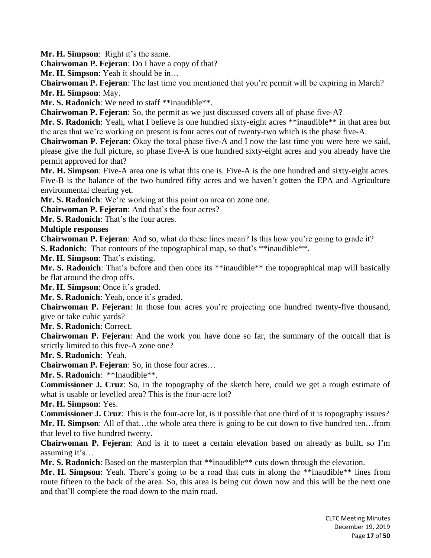**Mr. H. Simpson**: Right it's the same.

**Chairwoman P. Fejeran**: Do I have a copy of that?

**Mr. H. Simpson**: Yeah it should be in…

**Chairwoman P. Fejeran**: The last time you mentioned that you're permit will be expiring in March? **Mr. H. Simpson**: May.

**Mr. S. Radonich**: We need to staff \*\*inaudible\*\*.

**Chairwoman P. Fejeran**: So, the permit as we just discussed covers all of phase five-A?

**Mr. S. Radonich**: Yeah, what I believe is one hundred sixty-eight acres \*\*inaudible\*\* in that area but the area that we're working on present is four acres out of twenty-two which is the phase five-A.

**Chairwoman P. Fejeran**: Okay the total phase five-A and I now the last time you were here we said, please give the full picture, so phase five-A is one hundred sixty-eight acres and you already have the permit approved for that?

**Mr. H. Simpson**: Five-A area one is what this one is. Five-A is the one hundred and sixty-eight acres. Five-B is the balance of the two hundred fifty acres and we haven't gotten the EPA and Agriculture environmental clearing yet.

**Mr. S. Radonich**: We're working at this point on area on zone one.

**Chairwoman P. Fejeran**: And that's the four acres?

**Mr. S. Radonich**: That's the four acres.

**Multiple responses**

**Chairwoman P. Fejeran**: And so, what do these lines mean? Is this how you're going to grade it? **S. Radonich**: That contours of the topographical map, so that's \*\*inaudible\*\*.

**Mr. H. Simpson**: That's existing.

**Mr. S. Radonich**: That's before and then once its \*\*inaudible\*\* the topographical map will basically be flat around the drop offs.

**Mr. H. Simpson**: Once it's graded.

**Mr. S. Radonich**: Yeah, once it's graded.

**Chairwoman P. Fejeran**: In those four acres you're projecting one hundred twenty-five thousand, give or take cubic yards?

**Mr. S. Radonich**: Correct.

**Chairwoman P. Fejeran**: And the work you have done so far, the summary of the outcall that is strictly limited to this five-A zone one?

**Mr. S. Radonich**: Yeah.

**Chairwoman P. Fejeran**: So, in those four acres…

**Mr. S. Radonich**: \*\*Inaudible\*\*.

**Commissioner J. Cruz**: So, in the topography of the sketch here, could we get a rough estimate of what is usable or levelled area? This is the four-acre lot?

**Mr. H. Simpson**: Yes.

**Commissioner J. Cruz**: This is the four-acre lot, is it possible that one third of it is topography issues? **Mr. H. Simpson**: All of that…the whole area there is going to be cut down to five hundred ten…from that level to five hundred twenty.

**Chairwoman P. Fejeran**: And is it to meet a certain elevation based on already as built, so I'm assuming it's…

**Mr. S. Radonich**: Based on the masterplan that \*\*inaudible\*\* cuts down through the elevation.

**Mr. H. Simpson**: Yeah. There's going to be a road that cuts in along the \*\*inaudible\*\* lines from route fifteen to the back of the area. So, this area is being cut down now and this will be the next one and that'll complete the road down to the main road.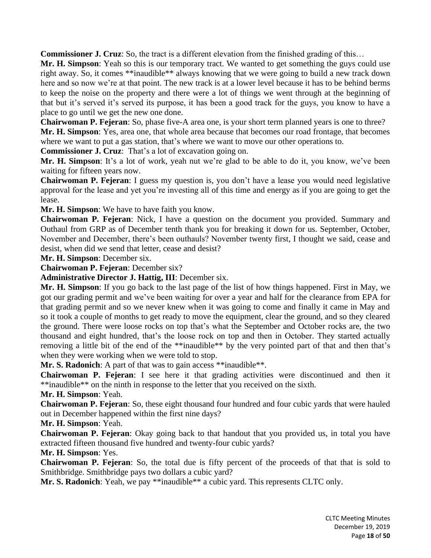**Commissioner J. Cruz**: So, the tract is a different elevation from the finished grading of this…

**Mr. H. Simpson**: Yeah so this is our temporary tract. We wanted to get something the guys could use right away. So, it comes \*\*inaudible\*\* always knowing that we were going to build a new track down here and so now we're at that point. The new track is at a lower level because it has to be behind berms to keep the noise on the property and there were a lot of things we went through at the beginning of that but it's served it's served its purpose, it has been a good track for the guys, you know to have a place to go until we get the new one done.

**Chairwoman P. Fejeran**: So, phase five-A area one, is your short term planned years is one to three? **Mr. H. Simpson**: Yes, area one, that whole area because that becomes our road frontage, that becomes where we want to put a gas station, that's where we want to move our other operations to.

**Commissioner J. Cruz**: That's a lot of excavation going on.

**Mr. H. Simpson**: It's a lot of work, yeah nut we're glad to be able to do it, you know, we've been waiting for fifteen years now.

**Chairwoman P. Fejeran**: I guess my question is, you don't have a lease you would need legislative approval for the lease and yet you're investing all of this time and energy as if you are going to get the lease.

**Mr. H. Simpson**: We have to have faith you know.

**Chairwoman P. Fejeran**: Nick, I have a question on the document you provided. Summary and Outhaul from GRP as of December tenth thank you for breaking it down for us. September, October, November and December, there's been outhauls? November twenty first, I thought we said, cease and desist, when did we send that letter, cease and desist?

**Mr. H. Simpson**: December six.

**Chairwoman P. Fejeran**: December six?

**Administrative Director J. Hattig, III**: December six.

**Mr. H. Simpson**: If you go back to the last page of the list of how things happened. First in May, we got our grading permit and we've been waiting for over a year and half for the clearance from EPA for that grading permit and so we never knew when it was going to come and finally it came in May and so it took a couple of months to get ready to move the equipment, clear the ground, and so they cleared the ground. There were loose rocks on top that's what the September and October rocks are, the two thousand and eight hundred, that's the loose rock on top and then in October. They started actually removing a little bit of the end of the \*\*inaudible\*\* by the very pointed part of that and then that's when they were working when we were told to stop.

**Mr. S. Radonich**: A part of that was to gain access \*\*inaudible\*\*.

**Chairwoman P. Fejeran**: I see here it that grading activities were discontinued and then it \*\*inaudible\*\* on the ninth in response to the letter that you received on the sixth.

**Mr. H. Simpson**: Yeah.

**Chairwoman P. Fejeran**: So, these eight thousand four hundred and four cubic yards that were hauled out in December happened within the first nine days?

**Mr. H. Simpson**: Yeah.

**Chairwoman P. Fejeran**: Okay going back to that handout that you provided us, in total you have extracted fifteen thousand five hundred and twenty-four cubic yards?

## **Mr. H. Simpson**: Yes.

**Chairwoman P. Fejeran**: So, the total due is fifty percent of the proceeds of that that is sold to Smithbridge. Smithbridge pays two dollars a cubic yard?

**Mr. S. Radonich**: Yeah, we pay \*\*inaudible\*\* a cubic yard. This represents CLTC only.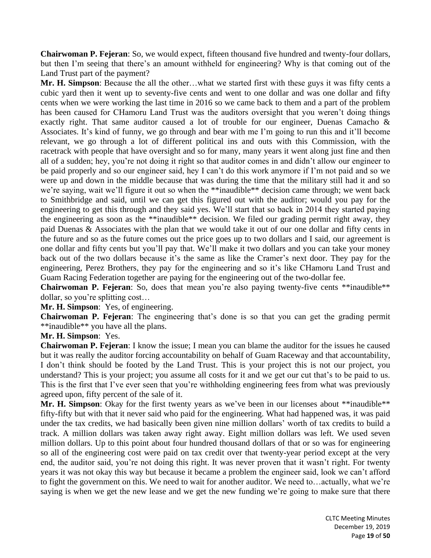**Chairwoman P. Fejeran**: So, we would expect, fifteen thousand five hundred and twenty-four dollars, but then I'm seeing that there's an amount withheld for engineering? Why is that coming out of the Land Trust part of the payment?

**Mr. H. Simpson**: Because the all the other…what we started first with these guys it was fifty cents a cubic yard then it went up to seventy-five cents and went to one dollar and was one dollar and fifty cents when we were working the last time in 2016 so we came back to them and a part of the problem has been caused for CHamoru Land Trust was the auditors oversight that you weren't doing things exactly right. That same auditor caused a lot of trouble for our engineer, Duenas Camacho & Associates. It's kind of funny, we go through and bear with me I'm going to run this and it'll become relevant, we go through a lot of different political ins and outs with this Commission, with the racetrack with people that have oversight and so for many, many years it went along just fine and then all of a sudden; hey, you're not doing it right so that auditor comes in and didn't allow our engineer to be paid properly and so our engineer said, hey I can't do this work anymore if I'm not paid and so we were up and down in the middle because that was during the time that the military still had it and so we're saying, wait we'll figure it out so when the \*\*inaudible\*\* decision came through; we went back to Smithbridge and said, until we can get this figured out with the auditor; would you pay for the engineering to get this through and they said yes. We'll start that so back in 2014 they started paying the engineering as soon as the \*\*inaudible\*\* decision. We filed our grading permit right away, they paid Duenas & Associates with the plan that we would take it out of our one dollar and fifty cents in the future and so as the future comes out the price goes up to two dollars and I said, our agreement is one dollar and fifty cents but you'll pay that. We'll make it two dollars and you can take your money back out of the two dollars because it's the same as like the Cramer's next door. They pay for the engineering, Perez Brothers, they pay for the engineering and so it's like CHamoru Land Trust and Guam Racing Federation together are paying for the engineering out of the two-dollar fee.

**Chairwoman P. Fejeran**: So, does that mean you're also paying twenty-five cents \*\*inaudible\*\* dollar, so you're splitting cost…

**Mr. H. Simpson**: Yes, of engineering.

**Chairwoman P. Fejeran**: The engineering that's done is so that you can get the grading permit \*\*inaudible\*\* you have all the plans.

#### **Mr. H. Simpson**: Yes.

**Chairwoman P. Fejeran**: I know the issue; I mean you can blame the auditor for the issues he caused but it was really the auditor forcing accountability on behalf of Guam Raceway and that accountability, I don't think should be footed by the Land Trust. This is your project this is not our project, you understand? This is your project; you assume all costs for it and we get our cut that's to be paid to us. This is the first that I've ever seen that you're withholding engineering fees from what was previously agreed upon, fifty percent of the sale of it.

Mr. H. Simpson: Okay for the first twenty years as we've been in our licenses about \*\*inaudible\*\* fifty-fifty but with that it never said who paid for the engineering. What had happened was, it was paid under the tax credits, we had basically been given nine million dollars' worth of tax credits to build a track. A million dollars was taken away right away. Eight million dollars was left. We used seven million dollars. Up to this point about four hundred thousand dollars of that or so was for engineering so all of the engineering cost were paid on tax credit over that twenty-year period except at the very end, the auditor said, you're not doing this right. It was never proven that it wasn't right. For twenty years it was not okay this way but because it became a problem the engineer said, look we can't afford to fight the government on this. We need to wait for another auditor. We need to…actually, what we're saying is when we get the new lease and we get the new funding we're going to make sure that there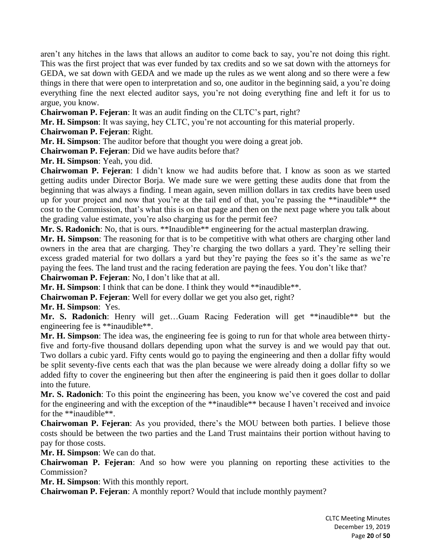aren't any hitches in the laws that allows an auditor to come back to say, you're not doing this right. This was the first project that was ever funded by tax credits and so we sat down with the attorneys for GEDA, we sat down with GEDA and we made up the rules as we went along and so there were a few things in there that were open to interpretation and so, one auditor in the beginning said, a you're doing everything fine the next elected auditor says, you're not doing everything fine and left it for us to argue, you know.

**Chairwoman P. Fejeran**: It was an audit finding on the CLTC's part, right?

**Mr. H. Simpson**: It was saying, hey CLTC, you're not accounting for this material properly.

**Chairwoman P. Fejeran**: Right.

**Mr. H. Simpson**: The auditor before that thought you were doing a great job.

**Chairwoman P. Fejeran**: Did we have audits before that?

**Mr. H. Simpson**: Yeah, you did.

**Chairwoman P. Fejeran**: I didn't know we had audits before that. I know as soon as we started getting audits under Director Borja. We made sure we were getting these audits done that from the beginning that was always a finding. I mean again, seven million dollars in tax credits have been used up for your project and now that you're at the tail end of that, you're passing the \*\*inaudible\*\* the cost to the Commission, that's what this is on that page and then on the next page where you talk about the grading value estimate, you're also charging us for the permit fee?

**Mr. S. Radonich**: No, that is ours. \*\*Inaudible\*\* engineering for the actual masterplan drawing.

**Mr. H. Simpson**: The reasoning for that is to be competitive with what others are charging other land owners in the area that are charging. They're charging the two dollars a yard. They're selling their excess graded material for two dollars a yard but they're paying the fees so it's the same as we're paying the fees. The land trust and the racing federation are paying the fees. You don't like that?

**Chairwoman P. Fejeran**: No, I don't like that at all.

**Mr. H. Simpson**: I think that can be done. I think they would \*\*inaudible\*\*.

**Chairwoman P. Fejeran**: Well for every dollar we get you also get, right?

**Mr. H. Simpson**: Yes.

**Mr. S. Radonich**: Henry will get…Guam Racing Federation will get \*\*inaudible\*\* but the engineering fee is \*\*inaudible\*\*.

**Mr. H. Simpson**: The idea was, the engineering fee is going to run for that whole area between thirtyfive and forty-five thousand dollars depending upon what the survey is and we would pay that out. Two dollars a cubic yard. Fifty cents would go to paying the engineering and then a dollar fifty would be split seventy-five cents each that was the plan because we were already doing a dollar fifty so we added fifty to cover the engineering but then after the engineering is paid then it goes dollar to dollar into the future.

**Mr. S. Radonich**: To this point the engineering has been, you know we've covered the cost and paid for the engineering and with the exception of the \*\*inaudible\*\* because I haven't received and invoice for the \*\*inaudible\*\*.

**Chairwoman P. Fejeran**: As you provided, there's the MOU between both parties. I believe those costs should be between the two parties and the Land Trust maintains their portion without having to pay for those costs.

**Mr. H. Simpson**: We can do that.

**Chairwoman P. Fejeran**: And so how were you planning on reporting these activities to the Commission?

**Mr. H. Simpson**: With this monthly report.

**Chairwoman P. Fejeran**: A monthly report? Would that include monthly payment?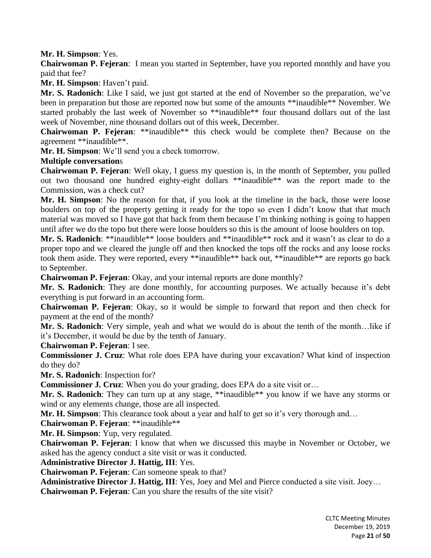**Mr. H. Simpson**: Yes.

**Chairwoman P. Fejeran**: I mean you started in September, have you reported monthly and have you paid that fee?

**Mr. H. Simpson**: Haven't paid.

**Mr. S. Radonich**: Like I said, we just got started at the end of November so the preparation, we've been in preparation but those are reported now but some of the amounts \*\*inaudible\*\* November. We started probably the last week of November so \*\*inaudible\*\* four thousand dollars out of the last week of November, nine thousand dollars out of this week, December.

**Chairwoman P. Fejeran**: \*\*inaudible\*\* this check would be complete then? Because on the agreement \*\*inaudible\*\*.

**Mr. H. Simpson**: We'll send you a check tomorrow.

**Multiple conversation**s

**Chairwoman P. Fejeran**: Well okay, I guess my question is, in the month of September, you pulled out two thousand one hundred eighty-eight dollars \*\*inaudible\*\* was the report made to the Commission, was a check cut?

**Mr. H. Simpson**: No the reason for that, if you look at the timeline in the back, those were loose boulders on top of the property getting it ready for the topo so even I didn't know that that much material was moved so I have got that back from them because I'm thinking nothing is going to happen until after we do the topo but there were loose boulders so this is the amount of loose boulders on top.

**Mr. S. Radonich**: \*\*inaudible\*\* loose boulders and \*\*inaudible\*\* rock and it wasn't as clear to do a proper topo and we cleared the jungle off and then knocked the tops off the rocks and any loose rocks took them aside. They were reported, every \*\*inaudible\*\* back out, \*\*inaudible\*\* are reports go back to September.

**Chairwoman P. Fejeran**: Okay, and your internal reports are done monthly?

**Mr. S. Radonich**: They are done monthly, for accounting purposes. We actually because it's debt everything is put forward in an accounting form.

**Chairwoman P. Fejeran**: Okay, so it would be simple to forward that report and then check for payment at the end of the month?

**Mr. S. Radonich**: Very simple, yeah and what we would do is about the tenth of the month…like if it's December, it would be due by the tenth of January.

**Chairwoman P. Fejeran**: I see.

**Commissioner J. Cruz**: What role does EPA have during your excavation? What kind of inspection do they do?

**Mr. S. Radonich**: Inspection for?

**Commissioner J. Cruz**: When you do your grading, does EPA do a site visit or...

Mr. S. Radonich: They can turn up at any stage, \*\*inaudible\*\* you know if we have any storms or wind or any elements change, those are all inspected.

**Mr. H. Simpson**: This clearance took about a year and half to get so it's very thorough and…

**Chairwoman P. Fejeran**: \*\*inaudible\*\*

**Mr. H. Simpson**: Yup, very regulated.

**Chairwoman P. Fejeran**: I know that when we discussed this maybe in November or October, we asked has the agency conduct a site visit or was it conducted.

**Administrative Director J. Hattig, III**: Yes.

**Chairwoman P. Fejeran**: Can someone speak to that?

**Administrative Director J. Hattig, III**: Yes, Joey and Mel and Pierce conducted a site visit. Joey…

**Chairwoman P. Fejeran**: Can you share the results of the site visit?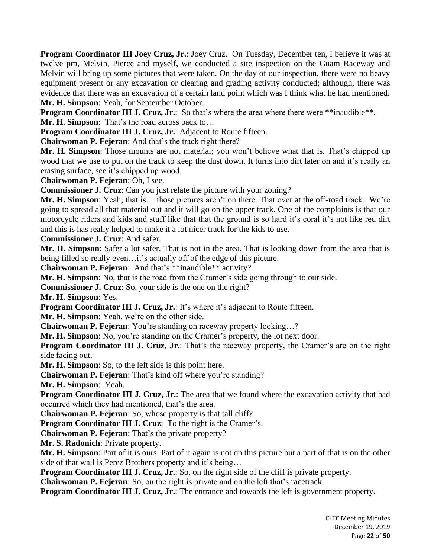**Program Coordinator III Joey Cruz, Jr.**: Joey Cruz. On Tuesday, December ten, I believe it was at twelve pm, Melvin, Pierce and myself, we conducted a site inspection on the Guam Raceway and Melvin will bring up some pictures that were taken. On the day of our inspection, there were no heavy equipment present or any excavation or clearing and grading activity conducted; although, there was evidence that there was an excavation of a certain land point which was I think what he had mentioned. **Mr. H. Simpson**: Yeah, for September October.

**Program Coordinator III J. Cruz, Jr.:** So that's where the area where there were \*\*inaudible\*\*.

**Mr. H. Simpson**: That's the road across back to…

**Program Coordinator III J. Cruz, Jr.**: Adjacent to Route fifteen.

**Chairwoman P. Fejeran**: And that's the track right there?

**Mr. H. Simpson**: Those mounts are not material; you won't believe what that is. That's chipped up wood that we use to put on the track to keep the dust down. It turns into dirt later on and it's really an erasing surface, see it's chipped up wood.

**Chairwoman P. Fejeran**: Oh, I see.

**Commissioner J. Cruz**: Can you just relate the picture with your zoning?

**Mr. H. Simpson**: Yeah, that is… those pictures aren't on there. That over at the off-road track. We're going to spread all that material out and it will go on the upper track. One of the complaints is that our motorcycle riders and kids and stuff like that that the ground is so hard it's coral it's not like red dirt and this is has really helped to make it a lot nicer track for the kids to use.

**Commissioner J. Cruz**: And safer.

**Mr. H. Simpson**: Safer a lot safer. That is not in the area. That is looking down from the area that is being filled so really even…it's actually off of the edge of this picture.

**Chairwoman P. Fejeran**: And that's \*\*inaudible\*\* activity?

**Mr. H. Simpson**: No, that is the road from the Cramer's side going through to our side.

**Commissioner J. Cruz**: So, your side is the one on the right?

**Mr. H. Simpson**: Yes.

**Program Coordinator III J. Cruz, Jr.**: It's where it's adjacent to Route fifteen.

**Mr. H. Simpson**: Yeah, we're on the other side.

**Chairwoman P. Fejeran**: You're standing on raceway property looking…?

**Mr. H. Simpson**: No, you're standing on the Cramer's property, the lot next door.

**Program Coordinator III J. Cruz, Jr.**: That's the raceway property, the Cramer's are on the right side facing out.

**Mr. H. Simpson**: So, to the left side is this point here.

**Chairwoman P. Fejeran**: That's kind off where you're standing?

**Mr. H. Simpson**: Yeah.

**Program Coordinator III J. Cruz, Jr.**: The area that we found where the excavation activity that had occurred which they had mentioned, that's the area.

**Chairwoman P. Fejeran**: So, whose property is that tall cliff?

**Program Coordinator III J. Cruz**: To the right is the Cramer's.

**Chairwoman P. Fejeran**: That's the private property?

**Mr. S. Radonich**: Private property.

**Mr. H. Simpson**: Part of it is ours. Part of it again is not on this picture but a part of that is on the other side of that wall is Perez Brothers property and it's being…

**Program Coordinator III J. Cruz, Jr.**: So, on the right side of the cliff is private property.

**Chairwoman P. Fejeran**: So, on the right is private and on the left that's racetrack.

**Program Coordinator III J. Cruz, Jr.**: The entrance and towards the left is government property.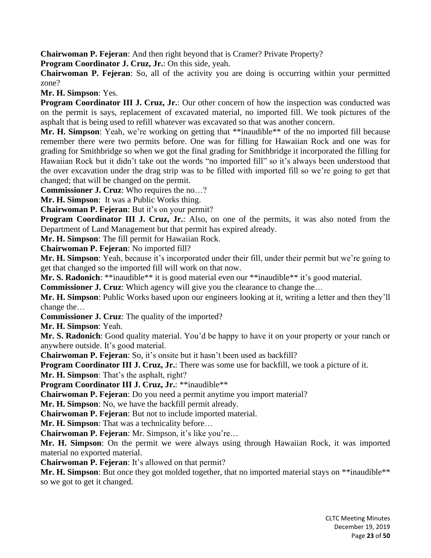**Chairwoman P. Fejeran**: And then right beyond that is Cramer? Private Property?

**Program Coordinator J. Cruz, Jr.**: On this side, yeah.

**Chairwoman P. Fejeran**: So, all of the activity you are doing is occurring within your permitted zone?

**Mr. H. Simpson**: Yes.

**Program Coordinator III J. Cruz, Jr.**: Our other concern of how the inspection was conducted was on the permit is says, replacement of excavated material, no imported fill. We took pictures of the asphalt that is being used to refill whatever was excavated so that was another concern.

Mr. H. Simpson: Yeah, we're working on getting that \*\*inaudible\*\* of the no imported fill because remember there were two permits before. One was for filling for Hawaiian Rock and one was for grading for Smithbridge so when we got the final grading for Smithbridge it incorporated the filling for Hawaiian Rock but it didn't take out the words "no imported fill" so it's always been understood that the over excavation under the drag strip was to be filled with imported fill so we're going to get that changed; that will be changed on the permit.

**Commissioner J. Cruz**: Who requires the no…?

**Mr. H. Simpson**: It was a Public Works thing.

**Chairwoman P. Fejeran**: But it's on your permit?

**Program Coordinator III J. Cruz, Jr.**: Also, on one of the permits, it was also noted from the Department of Land Management but that permit has expired already.

**Mr. H. Simpson**: The fill permit for Hawaiian Rock.

**Chairwoman P. Fejeran**: No imported fill?

**Mr. H. Simpson**: Yeah, because it's incorporated under their fill, under their permit but we're going to get that changed so the imported fill will work on that now.

**Mr. S. Radonich**: \*\*inaudible\*\* it is good material even our \*\*inaudible\*\* it's good material.

**Commissioner J. Cruz**: Which agency will give you the clearance to change the…

**Mr. H. Simpson**: Public Works based upon our engineers looking at it, writing a letter and then they'll change the…

**Commissioner J. Cruz**: The quality of the imported?

**Mr. H. Simpson**: Yeah.

**Mr. S. Radonich**: Good quality material. You'd be happy to have it on your property or your ranch or anywhere outside. It's good material.

**Chairwoman P. Fejeran**: So, it's onsite but it hasn't been used as backfill?

**Program Coordinator III J. Cruz, Jr.**: There was some use for backfill, we took a picture of it.

**Mr. H. Simpson**: That's the asphalt, right?

**Program Coordinator III J. Cruz, Jr.**: \*\*inaudible\*\*

**Chairwoman P. Fejeran**: Do you need a permit anytime you import material?

**Mr. H. Simpson**: No, we have the backfill permit already.

**Chairwoman P. Fejeran**: But not to include imported material.

**Mr. H. Simpson**: That was a technicality before…

**Chairwoman P. Fejeran**: Mr. Simpson, it's like you're…

**Mr. H. Simpson**: On the permit we were always using through Hawaiian Rock, it was imported material no exported material.

**Chairwoman P. Fejeran**: It's allowed on that permit?

Mr. H. Simpson: But once they got molded together, that no imported material stays on \*\*inaudible\*\* so we got to get it changed.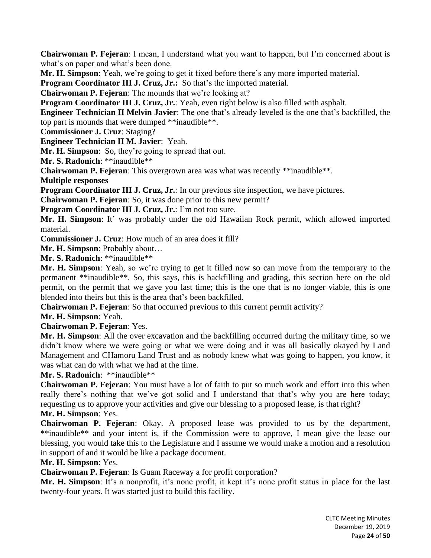**Chairwoman P. Fejeran**: I mean, I understand what you want to happen, but I'm concerned about is what's on paper and what's been done.

**Mr. H. Simpson**: Yeah, we're going to get it fixed before there's any more imported material.

**Program Coordinator III J. Cruz, Jr.:** So that's the imported material.

**Chairwoman P. Fejeran**: The mounds that we're looking at?

**Program Coordinator III J. Cruz, Jr.**: Yeah, even right below is also filled with asphalt.

**Engineer Technician II Melvin Javier**: The one that's already leveled is the one that's backfilled, the top part is mounds that were dumped \*\*inaudible\*\*.

**Commissioner J. Cruz**: Staging?

**Engineer Technician II M. Javier**: Yeah.

**Mr. H. Simpson**: So, they're going to spread that out.

**Mr. S. Radonich**: \*\*inaudible\*\*

**Chairwoman P. Fejeran**: This overgrown area was what was recently \*\*inaudible\*\*.

**Multiple responses**

**Program Coordinator III J. Cruz, Jr.**: In our previous site inspection, we have pictures.

**Chairwoman P. Fejeran**: So, it was done prior to this new permit?

**Program Coordinator III J. Cruz, Jr.**: I'm not too sure.

**Mr. H. Simpson**: It' was probably under the old Hawaiian Rock permit, which allowed imported material.

**Commissioner J. Cruz**: How much of an area does it fill?

**Mr. H. Simpson**: Probably about…

**Mr. S. Radonich**: \*\*inaudible\*\*

**Mr. H. Simpson**: Yeah, so we're trying to get it filled now so can move from the temporary to the permanent \*\*inaudible\*\*. So, this says, this is backfilling and grading, this section here on the old permit, on the permit that we gave you last time; this is the one that is no longer viable, this is one blended into theirs but this is the area that's been backfilled.

**Chairwoman P. Fejeran**: So that occurred previous to this current permit activity?

**Mr. H. Simpson**: Yeah.

**Chairwoman P. Fejeran**: Yes.

**Mr. H. Simpson**: All the over excavation and the backfilling occurred during the military time, so we didn't know where we were going or what we were doing and it was all basically okayed by Land Management and CHamoru Land Trust and as nobody knew what was going to happen, you know, it was what can do with what we had at the time.

**Mr. S. Radonich**: \*\*inaudible\*\*

**Chairwoman P. Fejeran**: You must have a lot of faith to put so much work and effort into this when really there's nothing that we've got solid and I understand that that's why you are here today; requesting us to approve your activities and give our blessing to a proposed lease, is that right? **Mr. H. Simpson**: Yes.

**Chairwoman P. Fejeran**: Okay. A proposed lease was provided to us by the department, \*\*inaudible\*\* and your intent is, if the Commission were to approve, I mean give the lease our blessing, you would take this to the Legislature and I assume we would make a motion and a resolution in support of and it would be like a package document.

## **Mr. H. Simpson**: Yes.

**Chairwoman P. Fejeran**: Is Guam Raceway a for profit corporation?

**Mr. H. Simpson**: It's a nonprofit, it's none profit, it kept it's none profit status in place for the last twenty-four years. It was started just to build this facility.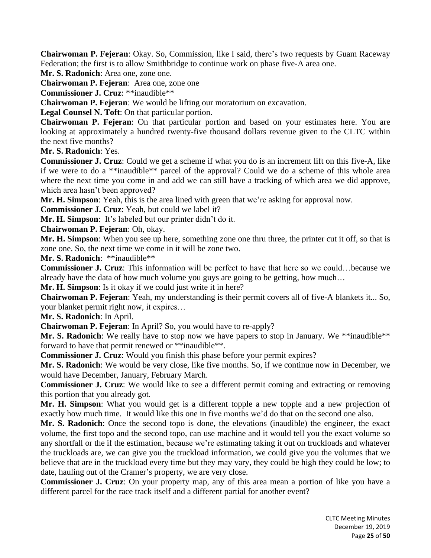**Chairwoman P. Fejeran**: Okay. So, Commission, like I said, there's two requests by Guam Raceway Federation; the first is to allow Smithbridge to continue work on phase five-A area one.

**Mr. S. Radonich**: Area one, zone one.

**Chairwoman P. Fejeran**: Area one, zone one

**Commissioner J. Cruz**: \*\*inaudible\*\*

**Chairwoman P. Fejeran**: We would be lifting our moratorium on excavation.

**Legal Counsel N. Toft**: On that particular portion.

**Chairwoman P. Fejeran**: On that particular portion and based on your estimates here. You are looking at approximately a hundred twenty-five thousand dollars revenue given to the CLTC within the next five months?

**Mr. S. Radonich**: Yes.

**Commissioner J. Cruz**: Could we get a scheme if what you do is an increment lift on this five-A, like if we were to do a \*\*inaudible\*\* parcel of the approval? Could we do a scheme of this whole area where the next time you come in and add we can still have a tracking of which area we did approve, which area hasn't been approved?

**Mr. H. Simpson**: Yeah, this is the area lined with green that we're asking for approval now.

**Commissioner J. Cruz**: Yeah, but could we label it?

**Mr. H. Simpson**: It's labeled but our printer didn't do it.

**Chairwoman P. Fejeran**: Oh, okay.

**Mr. H. Simpson**: When you see up here, something zone one thru three, the printer cut it off, so that is zone one. So, the next time we come in it will be zone two.

**Mr. S. Radonich**: \*\*inaudible\*\*

**Commissioner J. Cruz**: This information will be perfect to have that here so we could…because we already have the data of how much volume you guys are going to be getting, how much…

**Mr. H. Simpson**: Is it okay if we could just write it in here?

**Chairwoman P. Fejeran**: Yeah, my understanding is their permit covers all of five-A blankets it... So, your blanket permit right now, it expires…

**Mr. S. Radonich**: In April.

**Chairwoman P. Fejeran**: In April? So, you would have to re-apply?

**Mr. S. Radonich**: We really have to stop now we have papers to stop in January. We \*\*inaudible\*\* forward to have that permit renewed or \*\*inaudible\*\*.

**Commissioner J. Cruz**: Would you finish this phase before your permit expires?

**Mr. S. Radonich**: We would be very close, like five months. So, if we continue now in December, we would have December, January, February March.

**Commissioner J. Cruz**: We would like to see a different permit coming and extracting or removing this portion that you already got.

**Mr. H. Simpson**: What you would get is a different topple a new topple and a new projection of exactly how much time. It would like this one in five months we'd do that on the second one also.

**Mr. S. Radonich**: Once the second topo is done, the elevations (inaudible) the engineer, the exact volume, the first topo and the second topo, can use machine and it would tell you the exact volume so any shortfall or the if the estimation, because we're estimating taking it out on truckloads and whatever the truckloads are, we can give you the truckload information, we could give you the volumes that we believe that are in the truckload every time but they may vary, they could be high they could be low; to date, hauling out of the Cramer's property, we are very close.

**Commissioner J. Cruz**: On your property map, any of this area mean a portion of like you have a different parcel for the race track itself and a different partial for another event?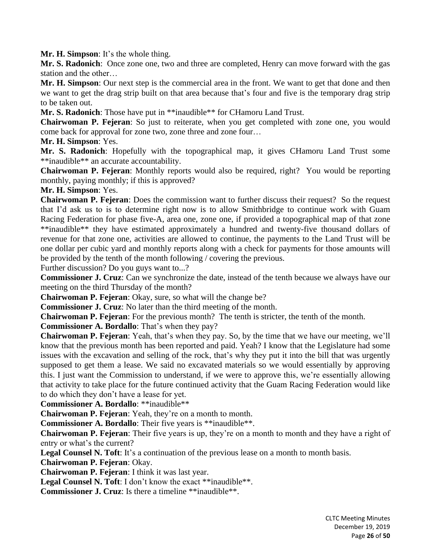**Mr. H. Simpson**: It's the whole thing.

**Mr. S. Radonich**: Once zone one, two and three are completed, Henry can move forward with the gas station and the other…

**Mr. H. Simpson**: Our next step is the commercial area in the front. We want to get that done and then we want to get the drag strip built on that area because that's four and five is the temporary drag strip to be taken out.

**Mr. S. Radonich**: Those have put in \*\*inaudible\*\* for CHamoru Land Trust.

**Chairwoman P. Fejeran**: So just to reiterate, when you get completed with zone one, you would come back for approval for zone two, zone three and zone four…

## **Mr. H. Simpson**: Yes.

**Mr. S. Radonich**: Hopefully with the topographical map, it gives CHamoru Land Trust some \*\*inaudible\*\* an accurate accountability.

**Chairwoman P. Fejeran**: Monthly reports would also be required, right? You would be reporting monthly, paying monthly; if this is approved?

**Mr. H. Simpson**: Yes.

**Chairwoman P. Fejeran**: Does the commission want to further discuss their request? So the request that I'd ask us to is to determine right now is to allow Smithbridge to continue work with Guam Racing Federation for phase five-A, area one, zone one, if provided a topographical map of that zone \*\*inaudible\*\* they have estimated approximately a hundred and twenty-five thousand dollars of revenue for that zone one, activities are allowed to continue, the payments to the Land Trust will be one dollar per cubic yard and monthly reports along with a check for payments for those amounts will be provided by the tenth of the month following / covering the previous.

Further discussion? Do you guys want to...?

**Commissioner J. Cruz**: Can we synchronize the date, instead of the tenth because we always have our meeting on the third Thursday of the month?

**Chairwoman P. Fejeran**: Okay, sure, so what will the change be?

**Commissioner J. Cruz**: No later than the third meeting of the month.

**Chairwoman P. Fejeran**: For the previous month? The tenth is stricter, the tenth of the month.

**Commissioner A. Bordallo**: That's when they pay?

**Chairwoman P. Fejeran**: Yeah, that's when they pay. So, by the time that we have our meeting, we'll know that the previous month has been reported and paid. Yeah? I know that the Legislature had some issues with the excavation and selling of the rock, that's why they put it into the bill that was urgently supposed to get them a lease. We said no excavated materials so we would essentially by approving this. I just want the Commission to understand, if we were to approve this, we're essentially allowing that activity to take place for the future continued activity that the Guam Racing Federation would like to do which they don't have a lease for yet.

**Commissioner A. Bordallo**: \*\*inaudible\*\*

**Chairwoman P. Fejeran**: Yeah, they're on a month to month.

**Commissioner A. Bordallo**: Their five years is \*\*inaudible\*\*.

**Chairwoman P. Fejeran**: Their five years is up, they're on a month to month and they have a right of entry or what's the current?

**Legal Counsel N. Toft**: It's a continuation of the previous lease on a month to month basis.

**Chairwoman P. Fejeran**: Okay.

**Chairwoman P. Fejeran**: I think it was last year.

Legal Counsel N. Toft: I don't know the exact \*\*inaudible\*\*.

**Commissioner J. Cruz**: Is there a timeline \*\*inaudible\*\*.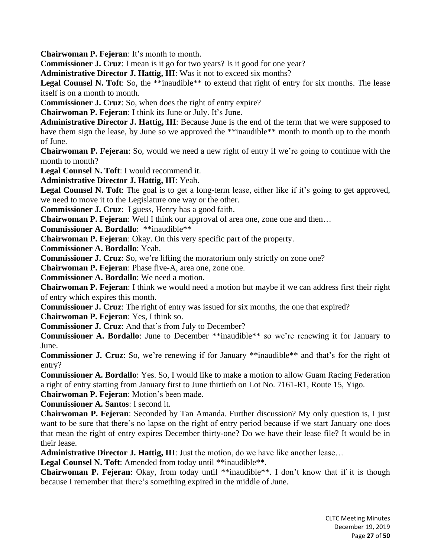**Chairwoman P. Fejeran**: It's month to month.

**Commissioner J. Cruz**: I mean is it go for two years? Is it good for one year?

**Administrative Director J. Hattig, III**: Was it not to exceed six months?

Legal Counsel N. Toft: So, the \*\*inaudible\*\* to extend that right of entry for six months. The lease itself is on a month to month.

**Commissioner J. Cruz**: So, when does the right of entry expire?

**Chairwoman P. Fejeran**: I think its June or July. It's June.

**Administrative Director J. Hattig, III**: Because June is the end of the term that we were supposed to have them sign the lease, by June so we approved the \*\*inaudible\*\* month to month up to the month of June.

**Chairwoman P. Fejeran**: So, would we need a new right of entry if we're going to continue with the month to month?

**Legal Counsel N. Toft**: I would recommend it.

**Administrative Director J. Hattig, III**: Yeah.

Legal Counsel N. Toft: The goal is to get a long-term lease, either like if it's going to get approved, we need to move it to the Legislature one way or the other.

**Commissioner J. Cruz**: I guess, Henry has a good faith.

**Chairwoman P. Fejeran**: Well I think our approval of area one, zone one and then…

**Commissioner A. Bordallo**: \*\*inaudible\*\*

**Chairwoman P. Fejeran**: Okay. On this very specific part of the property.

**Commissioner A. Bordallo**: Yeah.

**Commissioner J. Cruz**: So, we're lifting the moratorium only strictly on zone one?

**Chairwoman P. Fejeran**: Phase five-A, area one, zone one.

**Commissioner A. Bordallo**: We need a motion.

**Chairwoman P. Fejeran**: I think we would need a motion but maybe if we can address first their right of entry which expires this month.

**Commissioner J. Cruz**: The right of entry was issued for six months, the one that expired?

**Chairwoman P. Fejeran**: Yes, I think so.

**Commissioner J. Cruz**: And that's from July to December?

**Commissioner A. Bordallo**: June to December \*\*inaudible\*\* so we're renewing it for January to June.

**Commissioner J. Cruz**: So, we're renewing if for January \*\*inaudible\*\* and that's for the right of entry?

**Commissioner A. Bordallo**: Yes. So, I would like to make a motion to allow Guam Racing Federation a right of entry starting from January first to June thirtieth on Lot No. 7161-R1, Route 15, Yigo.

**Chairwoman P. Fejeran**: Motion's been made.

**Commissioner A. Santos**: I second it.

**Chairwoman P. Fejeran**: Seconded by Tan Amanda. Further discussion? My only question is, I just want to be sure that there's no lapse on the right of entry period because if we start January one does that mean the right of entry expires December thirty-one? Do we have their lease file? It would be in their lease.

**Administrative Director J. Hattig, III**: Just the motion, do we have like another lease…

Legal Counsel N. Toft: Amended from today until \*\*inaudible\*\*.

**Chairwoman P. Fejeran**: Okay, from today until \*\*inaudible\*\*. I don't know that if it is though because I remember that there's something expired in the middle of June.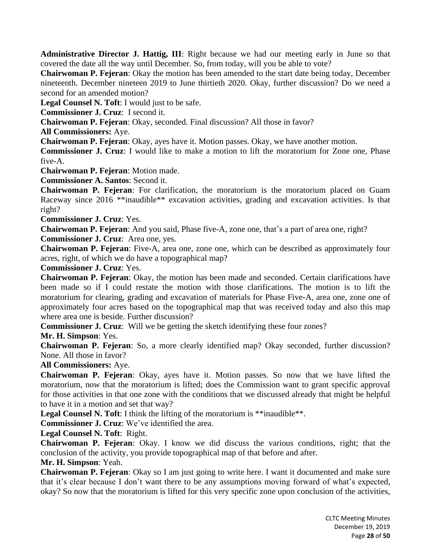**Administrative Director J. Hattig, III**: Right because we had our meeting early in June so that covered the date all the way until December. So, from today, will you be able to vote?

**Chairwoman P. Fejeran**: Okay the motion has been amended to the start date being today, December nineteenth. December nineteen 2019 to June thirtieth 2020. Okay, further discussion? Do we need a second for an amended motion?

**Legal Counsel N. Toft**: I would just to be safe.

**Commissioner J. Cruz**: I second it.

**Chairwoman P. Fejeran**: Okay, seconded. Final discussion? All those in favor?

**All Commissioners:** Aye.

**Chairwoman P. Fejeran**: Okay, ayes have it. Motion passes. Okay, we have another motion.

**Commissioner J. Cruz**: I would like to make a motion to lift the moratorium for Zone one, Phase five-A.

**Chairwoman P. Fejeran**: Motion made.

**Commissioner A. Santos**: Second it.

**Chairwoman P. Fejeran**: For clarification, the moratorium is the moratorium placed on Guam Raceway since 2016 \*\*inaudible\*\* excavation activities, grading and excavation activities. Is that right?

**Commissioner J. Cruz**: Yes.

**Chairwoman P. Fejeran**: And you said, Phase five-A, zone one, that's a part of area one, right? **Commissioner J. Cruz**: Area one, yes.

**Chairwoman P. Fejeran**: Five-A, area one, zone one, which can be described as approximately four acres, right, of which we do have a topographical map?

**Commissioner J. Cruz**: Yes.

**Chairwoman P. Fejeran**: Okay, the motion has been made and seconded. Certain clarifications have been made so if I could restate the motion with those clarifications. The motion is to lift the moratorium for clearing, grading and excavation of materials for Phase Five-A, area one, zone one of approximately four acres based on the topographical map that was received today and also this map where area one is beside. Further discussion?

**Commissioner J. Cruz**: Will we be getting the sketch identifying these four zones?

**Mr. H. Simpson**: Yes.

**Chairwoman P. Fejeran**: So, a more clearly identified map? Okay seconded, further discussion? None. All those in favor?

**All Commissioners:** Aye.

**Chairwoman P. Fejeran**: Okay, ayes have it. Motion passes. So now that we have lifted the moratorium, now that the moratorium is lifted; does the Commission want to grant specific approval for those activities in that one zone with the conditions that we discussed already that might be helpful to have it in a motion and set that way?

**Legal Counsel N. Toft:** I think the lifting of the moratorium is \*\*inaudible\*\*.

**Commissioner J. Cruz**: We've identified the area.

**Legal Counsel N. Toft**: Right.

**Chairwoman P. Fejeran**: Okay. I know we did discuss the various conditions, right; that the conclusion of the activity, you provide topographical map of that before and after.

**Mr. H. Simpson**: Yeah.

**Chairwoman P. Fejeran**: Okay so I am just going to write here. I want it documented and make sure that it's clear because I don't want there to be any assumptions moving forward of what's expected, okay? So now that the moratorium is lifted for this very specific zone upon conclusion of the activities,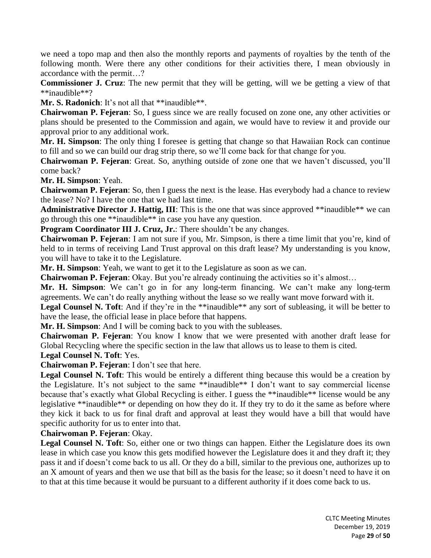we need a topo map and then also the monthly reports and payments of royalties by the tenth of the following month. Were there any other conditions for their activities there, I mean obviously in accordance with the permit…?

**Commissioner J. Cruz**: The new permit that they will be getting, will we be getting a view of that \*\*inaudible\*\*?

Mr. S. Radonich: It's not all that \*\*inaudible\*\*.

**Chairwoman P. Fejeran**: So, I guess since we are really focused on zone one, any other activities or plans should be presented to the Commission and again, we would have to review it and provide our approval prior to any additional work.

**Mr. H. Simpson**: The only thing I foresee is getting that change so that Hawaiian Rock can continue to fill and so we can build our drag strip there, so we'll come back for that change for you.

**Chairwoman P. Fejeran**: Great. So, anything outside of zone one that we haven't discussed, you'll come back?

**Mr. H. Simpson**: Yeah.

**Chairwoman P. Fejeran**: So, then I guess the next is the lease. Has everybody had a chance to review the lease? No? I have the one that we had last time.

**Administrative Director J. Hattig, III**: This is the one that was since approved \*\*inaudible\*\* we can go through this one \*\*inaudible\*\* in case you have any question.

**Program Coordinator III J. Cruz, Jr.**: There shouldn't be any changes.

**Chairwoman P. Fejeran**: I am not sure if you, Mr. Simpson, is there a time limit that you're, kind of held to in terms of receiving Land Trust approval on this draft lease? My understanding is you know, you will have to take it to the Legislature.

**Mr. H. Simpson**: Yeah, we want to get it to the Legislature as soon as we can.

**Chairwoman P. Fejeran**: Okay. But you're already continuing the activities so it's almost…

**Mr. H. Simpson**: We can't go in for any long-term financing. We can't make any long-term agreements. We can't do really anything without the lease so we really want move forward with it.

Legal Counsel N. Toft: And if they're in the \*\*inaudible\*\* any sort of subleasing, it will be better to have the lease, the official lease in place before that happens.

**Mr. H. Simpson**: And I will be coming back to you with the subleases.

**Chairwoman P. Fejeran**: You know I know that we were presented with another draft lease for Global Recycling where the specific section in the law that allows us to lease to them is cited.

**Legal Counsel N. Toft**: Yes.

**Chairwoman P. Fejeran**: I don't see that here.

**Legal Counsel N. Toft**: This would be entirely a different thing because this would be a creation by the Legislature. It's not subject to the same \*\*inaudible\*\* I don't want to say commercial license because that's exactly what Global Recycling is either. I guess the \*\*inaudible\*\* license would be any legislative \*\*inaudible\*\* or depending on how they do it. If they try to do it the same as before where they kick it back to us for final draft and approval at least they would have a bill that would have specific authority for us to enter into that.

**Chairwoman P. Fejeran**: Okay.

**Legal Counsel N. Toft**: So, either one or two things can happen. Either the Legislature does its own lease in which case you know this gets modified however the Legislature does it and they draft it; they pass it and if doesn't come back to us all. Or they do a bill, similar to the previous one, authorizes up to an X amount of years and then we use that bill as the basis for the lease; so it doesn't need to have it on to that at this time because it would be pursuant to a different authority if it does come back to us.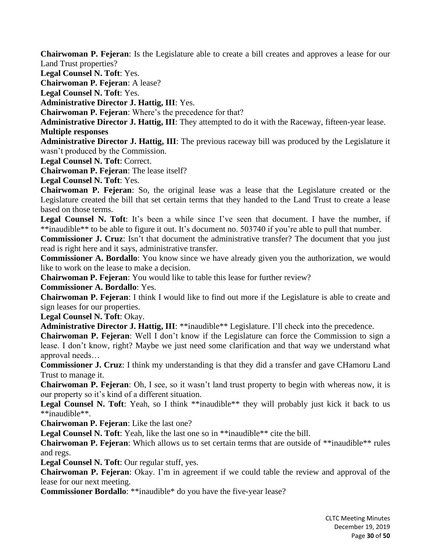**Chairwoman P. Fejeran**: Is the Legislature able to create a bill creates and approves a lease for our Land Trust properties?

**Legal Counsel N. Toft**: Yes.

**Chairwoman P. Fejeran**: A lease?

**Legal Counsel N. Toft**: Yes.

**Administrative Director J. Hattig, III**: Yes.

**Chairwoman P. Fejeran**: Where's the precedence for that?

**Administrative Director J. Hattig, III**: They attempted to do it with the Raceway, fifteen-year lease. **Multiple responses**

**Administrative Director J. Hattig, III**: The previous raceway bill was produced by the Legislature it wasn't produced by the Commission.

**Legal Counsel N. Toft**: Correct.

**Chairwoman P. Fejeran**: The lease itself?

**Legal Counsel N. Toft**: Yes.

**Chairwoman P. Fejeran**: So, the original lease was a lease that the Legislature created or the Legislature created the bill that set certain terms that they handed to the Land Trust to create a lease based on those terms.

Legal Counsel N. Toft: It's been a while since I've seen that document. I have the number, if \*\*inaudible\*\* to be able to figure it out. It's document no. 503740 if you're able to pull that number.

**Commissioner J. Cruz**: Isn't that document the administrative transfer? The document that you just read is right here and it says, administrative transfer.

**Commissioner A. Bordallo**: You know since we have already given you the authorization, we would like to work on the lease to make a decision.

**Chairwoman P. Fejeran**: You would like to table this lease for further review?

**Commissioner A. Bordallo**: Yes.

**Chairwoman P. Fejeran**: I think I would like to find out more if the Legislature is able to create and sign leases for our properties.

**Legal Counsel N. Toft**: Okay.

**Administrative Director J. Hattig, III**: \*\*inaudible\*\* Legislature. I'll check into the precedence.

**Chairwoman P. Fejeran**: Well I don't know if the Legislature can force the Commission to sign a lease. I don't know, right? Maybe we just need some clarification and that way we understand what approval needs…

**Commissioner J. Cruz**: I think my understanding is that they did a transfer and gave CHamoru Land Trust to manage it.

**Chairwoman P. Fejeran**: Oh, I see, so it wasn't land trust property to begin with whereas now, it is our property so it's kind of a different situation.

Legal Counsel N. Toft: Yeah, so I think \*\*inaudible<sup>\*\*</sup> they will probably just kick it back to us \*\*inaudible\*\*.

**Chairwoman P. Fejeran**: Like the last one?

**Legal Counsel N. Toft**: Yeah, like the last one so in \*\*inaudible\*\* cite the bill.

**Chairwoman P. Fejeran**: Which allows us to set certain terms that are outside of \*\*inaudible\*\* rules and regs.

**Legal Counsel N. Toft**: Our regular stuff, yes.

**Chairwoman P. Fejeran**: Okay. I'm in agreement if we could table the review and approval of the lease for our next meeting.

**Commissioner Bordallo**: \*\*inaudible\* do you have the five-year lease?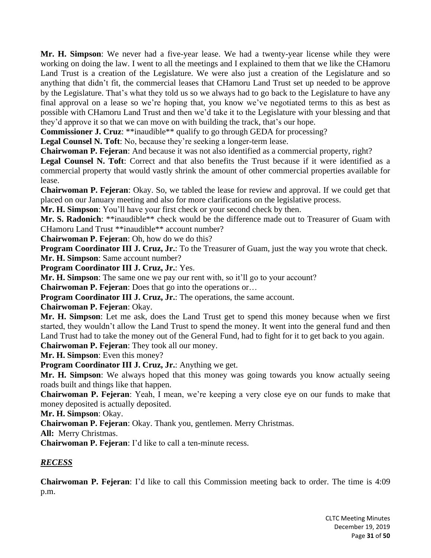**Mr. H. Simpson**: We never had a five-year lease. We had a twenty-year license while they were working on doing the law. I went to all the meetings and I explained to them that we like the CHamoru Land Trust is a creation of the Legislature. We were also just a creation of the Legislature and so anything that didn't fit, the commercial leases that CHamoru Land Trust set up needed to be approve by the Legislature. That's what they told us so we always had to go back to the Legislature to have any final approval on a lease so we're hoping that, you know we've negotiated terms to this as best as possible with CHamoru Land Trust and then we'd take it to the Legislature with your blessing and that they'd approve it so that we can move on with building the track, that's our hope.

**Commissioner J. Cruz**: \*\*inaudible\*\* qualify to go through GEDA for processing?

**Legal Counsel N. Toft**: No, because they're seeking a longer-term lease.

**Chairwoman P. Fejeran**: And because it was not also identified as a commercial property, right?

**Legal Counsel N. Toft**: Correct and that also benefits the Trust because if it were identified as a commercial property that would vastly shrink the amount of other commercial properties available for lease.

**Chairwoman P. Fejeran**: Okay. So, we tabled the lease for review and approval. If we could get that placed on our January meeting and also for more clarifications on the legislative process.

**Mr. H. Simpson**: You'll have your first check or your second check by then.

**Mr. S. Radonich**: \*\*inaudible\*\* check would be the difference made out to Treasurer of Guam with CHamoru Land Trust \*\*inaudible\*\* account number?

**Chairwoman P. Fejeran**: Oh, how do we do this?

**Program Coordinator III J. Cruz, Jr.**: To the Treasurer of Guam, just the way you wrote that check. **Mr. H. Simpson**: Same account number?

**Program Coordinator III J. Cruz, Jr.**: Yes.

**Mr. H. Simpson**: The same one we pay our rent with, so it'll go to your account?

**Chairwoman P. Fejeran**: Does that go into the operations or…

**Program Coordinator III J. Cruz, Jr.**: The operations, the same account.

**Chairwoman P. Fejeran**: Okay.

**Mr. H. Simpson**: Let me ask, does the Land Trust get to spend this money because when we first started, they wouldn't allow the Land Trust to spend the money. It went into the general fund and then Land Trust had to take the money out of the General Fund, had to fight for it to get back to you again. **Chairwoman P. Fejeran**: They took all our money.

**Mr. H. Simpson**: Even this money?

**Program Coordinator III J. Cruz, Jr.**: Anything we get.

**Mr. H. Simpson**: We always hoped that this money was going towards you know actually seeing roads built and things like that happen.

**Chairwoman P. Fejeran**: Yeah, I mean, we're keeping a very close eye on our funds to make that money deposited is actually deposited.

**Mr. H. Simpson**: Okay.

**Chairwoman P. Fejeran**: Okay. Thank you, gentlemen. Merry Christmas.

**All:** Merry Christmas.

**Chairwoman P. Fejeran**: I'd like to call a ten-minute recess.

## *RECESS*

**Chairwoman P. Fejeran**: I'd like to call this Commission meeting back to order. The time is 4:09 p.m.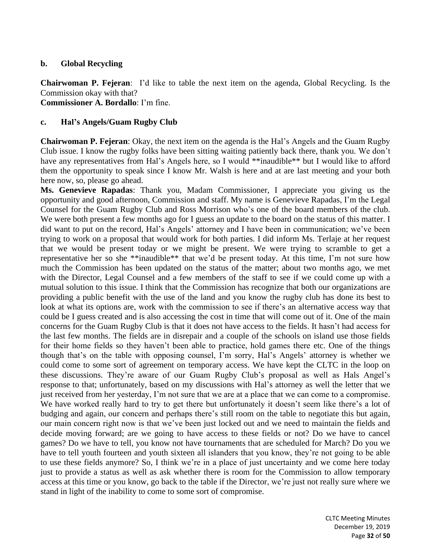## **b. Global Recycling**

**Chairwoman P. Fejeran**: I'd like to table the next item on the agenda, Global Recycling. Is the Commission okay with that? **Commissioner A. Bordallo**: I'm fine.

## **c. Hal's Angels/Guam Rugby Club**

**Chairwoman P. Fejeran**: Okay, the next item on the agenda is the Hal's Angels and the Guam Rugby Club issue. I know the rugby folks have been sitting waiting patiently back there, thank you. We don't have any representatives from Hal's Angels here, so I would \*\*inaudible\*\* but I would like to afford them the opportunity to speak since I know Mr. Walsh is here and at are last meeting and your both here now, so, please go ahead.

**Ms. Genevieve Rapadas**: Thank you, Madam Commissioner, I appreciate you giving us the opportunity and good afternoon, Commission and staff. My name is Genevieve Rapadas, I'm the Legal Counsel for the Guam Rugby Club and Ross Morrison who's one of the board members of the club. We were both present a few months ago for I guess an update to the board on the status of this matter. I did want to put on the record, Hal's Angels' attorney and I have been in communication; we've been trying to work on a proposal that would work for both parties. I did inform Ms. Terlaje at her request that we would be present today or we might be present. We were trying to scramble to get a representative her so she \*\*inaudible\*\* that we'd be present today. At this time, I'm not sure how much the Commission has been updated on the status of the matter; about two months ago, we met with the Director, Legal Counsel and a few members of the staff to see if we could come up with a mutual solution to this issue. I think that the Commission has recognize that both our organizations are providing a public benefit with the use of the land and you know the rugby club has done its best to look at what its options are, work with the commission to see if there's an alternative access way that could be I guess created and is also accessing the cost in time that will come out of it. One of the main concerns for the Guam Rugby Club is that it does not have access to the fields. It hasn't had access for the last few months. The fields are in disrepair and a couple of the schools on island use those fields for their home fields so they haven't been able to practice, hold games there etc. One of the things though that's on the table with opposing counsel, I'm sorry, Hal's Angels' attorney is whether we could come to some sort of agreement on temporary access. We have kept the CLTC in the loop on these discussions. They're aware of our Guam Rugby Club's proposal as well as Hals Angel's response to that; unfortunately, based on my discussions with Hal's attorney as well the letter that we just received from her yesterday, I'm not sure that we are at a place that we can come to a compromise. We have worked really hard to try to get there but unfortunately it doesn't seem like there's a lot of budging and again, our concern and perhaps there's still room on the table to negotiate this but again, our main concern right now is that we've been just locked out and we need to maintain the fields and decide moving forward; are we going to have access to these fields or not? Do we have to cancel games? Do we have to tell, you know not have tournaments that are scheduled for March? Do you we have to tell youth fourteen and youth sixteen all islanders that you know, they're not going to be able to use these fields anymore? So, I think we're in a place of just uncertainty and we come here today just to provide a status as well as ask whether there is room for the Commission to allow temporary access at this time or you know, go back to the table if the Director, we're just not really sure where we stand in light of the inability to come to some sort of compromise.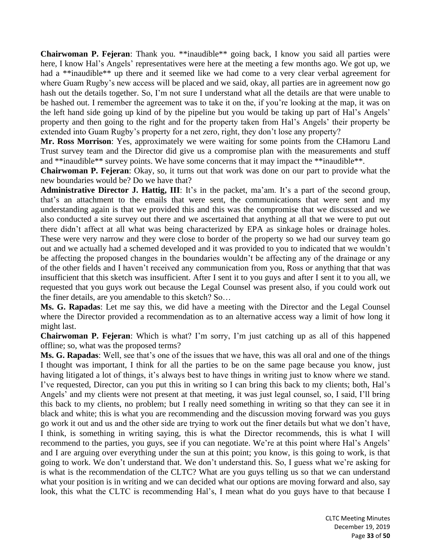**Chairwoman P. Fejeran**: Thank you. \*\*inaudible\*\* going back, I know you said all parties were here, I know Hal's Angels' representatives were here at the meeting a few months ago. We got up, we had a \*\*inaudible\*\* up there and it seemed like we had come to a very clear verbal agreement for where Guam Rugby's new access will be placed and we said, okay, all parties are in agreement now go hash out the details together. So, I'm not sure I understand what all the details are that were unable to be hashed out. I remember the agreement was to take it on the, if you're looking at the map, it was on the left hand side going up kind of by the pipeline but you would be taking up part of Hal's Angels' property and then going to the right and for the property taken from Hal's Angels' their property be extended into Guam Rugby's property for a net zero, right, they don't lose any property?

**Mr. Ross Morrison**: Yes, approximately we were waiting for some points from the CHamoru Land Trust survey team and the Director did give us a compromise plan with the measurements and stuff and \*\*inaudible\*\* survey points. We have some concerns that it may impact the \*\*inaudible\*\*.

**Chairwoman P. Fejeran**: Okay, so, it turns out that work was done on our part to provide what the new boundaries would be? Do we have that?

**Administrative Director J. Hattig, III**: It's in the packet, ma'am. It's a part of the second group, that's an attachment to the emails that were sent, the communications that were sent and my understanding again is that we provided this and this was the compromise that we discussed and we also conducted a site survey out there and we ascertained that anything at all that we were to put out there didn't affect at all what was being characterized by EPA as sinkage holes or drainage holes. These were very narrow and they were close to border of the property so we had our survey team go out and we actually had a schemed developed and it was provided to you to indicated that we wouldn't be affecting the proposed changes in the boundaries wouldn't be affecting any of the drainage or any of the other fields and I haven't received any communication from you, Ross or anything that that was insufficient that this sketch was insufficient. After I sent it to you guys and after I sent it to you all, we requested that you guys work out because the Legal Counsel was present also, if you could work out the finer details, are you amendable to this sketch? So…

**Ms. G. Rapadas**: Let me say this, we did have a meeting with the Director and the Legal Counsel where the Director provided a recommendation as to an alternative access way a limit of how long it might last.

**Chairwoman P. Fejeran**: Which is what? I'm sorry, I'm just catching up as all of this happened offline; so, what was the proposed terms?

**Ms. G. Rapadas**: Well, see that's one of the issues that we have, this was all oral and one of the things I thought was important, I think for all the parties to be on the same page because you know, just having litigated a lot of things, it's always best to have things in writing just to know where we stand. I've requested, Director, can you put this in writing so I can bring this back to my clients; both, Hal's Angels' and my clients were not present at that meeting, it was just legal counsel, so, I said, I'll bring this back to my clients, no problem; but I really need something in writing so that they can see it in black and white; this is what you are recommending and the discussion moving forward was you guys go work it out and us and the other side are trying to work out the finer details but what we don't have, I think, is something in writing saying, this is what the Director recommends, this is what I will recommend to the parties, you guys, see if you can negotiate. We're at this point where Hal's Angels' and I are arguing over everything under the sun at this point; you know, is this going to work, is that going to work. We don't understand that. We don't understand this. So, I guess what we're asking for is what is the recommendation of the CLTC? What are you guys telling us so that we can understand what your position is in writing and we can decided what our options are moving forward and also, say look, this what the CLTC is recommending Hal's, I mean what do you guys have to that because I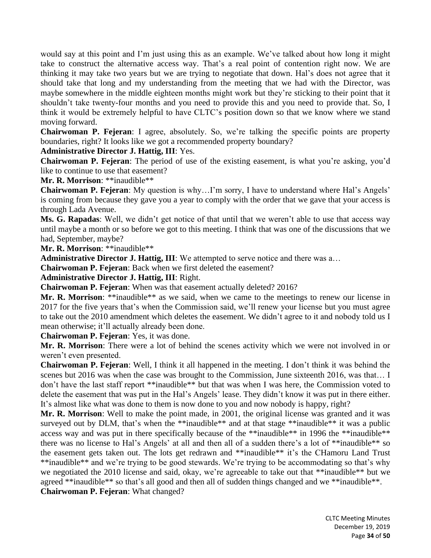would say at this point and I'm just using this as an example. We've talked about how long it might take to construct the alternative access way. That's a real point of contention right now. We are thinking it may take two years but we are trying to negotiate that down. Hal's does not agree that it should take that long and my understanding from the meeting that we had with the Director, was maybe somewhere in the middle eighteen months might work but they're sticking to their point that it shouldn't take twenty-four months and you need to provide this and you need to provide that. So, I think it would be extremely helpful to have CLTC's position down so that we know where we stand moving forward.

**Chairwoman P. Fejeran**: I agree, absolutely. So, we're talking the specific points are property boundaries, right? It looks like we got a recommended property boundary?

# **Administrative Director J. Hattig, III**: Yes.

**Chairwoman P. Fejeran**: The period of use of the existing easement, is what you're asking, you'd like to continue to use that easement?

**Mr. R. Morrison**: \*\*inaudible\*\*

**Chairwoman P. Fejeran**: My question is why…I'm sorry, I have to understand where Hal's Angels' is coming from because they gave you a year to comply with the order that we gave that your access is through Lada Avenue.

**Ms. G. Rapadas**: Well, we didn't get notice of that until that we weren't able to use that access way until maybe a month or so before we got to this meeting. I think that was one of the discussions that we had, September, maybe?

**Mr. R. Morrison**: \*\*inaudible\*\*

**Administrative Director J. Hattig, III**: We attempted to serve notice and there was a…

**Chairwoman P. Fejeran**: Back when we first deleted the easement?

**Administrative Director J. Hattig, III**: Right.

**Chairwoman P. Fejeran**: When was that easement actually deleted? 2016?

**Mr. R. Morrison**: \*\*inaudible\*\* as we said, when we came to the meetings to renew our license in 2017 for the five years that's when the Commission said, we'll renew your license but you must agree to take out the 2010 amendment which deletes the easement. We didn't agree to it and nobody told us I mean otherwise; it'll actually already been done.

**Chairwoman P. Fejeran**: Yes, it was done.

**Mr. R. Morrison**: There were a lot of behind the scenes activity which we were not involved in or weren't even presented.

**Chairwoman P. Fejeran**: Well, I think it all happened in the meeting. I don't think it was behind the scenes but 2016 was when the case was brought to the Commission, June sixteenth 2016, was that… I don't have the last staff report \*\*inaudible\*\* but that was when I was here, the Commission voted to delete the easement that was put in the Hal's Angels' lease. They didn't know it was put in there either. It's almost like what was done to them is now done to you and now nobody is happy, right?

**Mr. R. Morrison**: Well to make the point made, in 2001, the original license was granted and it was surveyed out by DLM, that's when the \*\*inaudible\*\* and at that stage \*\*inaudible\*\* it was a public access way and was put in there specifically because of the \*\*inaudible\*\* in 1996 the \*\*inaudible\*\* there was no license to Hal's Angels' at all and then all of a sudden there's a lot of \*\*inaudible\*\* so the easement gets taken out. The lots get redrawn and \*\*inaudible\*\* it's the CHamoru Land Trust \*\*inaudible\*\* and we're trying to be good stewards. We're trying to be accommodating so that's why we negotiated the 2010 license and said, okay, we're agreeable to take out that \*\*inaudible\*\* but we agreed \*\*inaudible\*\* so that's all good and then all of sudden things changed and we \*\*inaudible\*\*. **Chairwoman P. Fejeran**: What changed?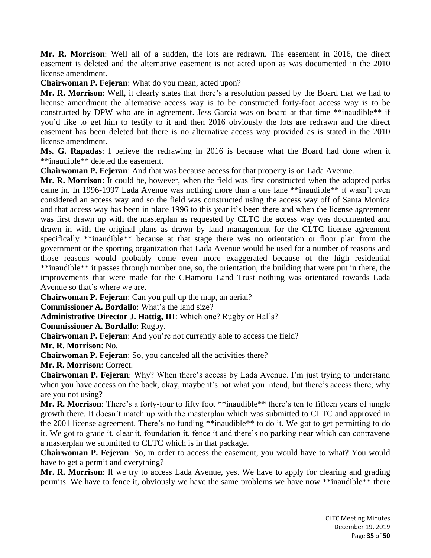**Mr. R. Morrison**: Well all of a sudden, the lots are redrawn. The easement in 2016, the direct easement is deleted and the alternative easement is not acted upon as was documented in the 2010 license amendment.

**Chairwoman P. Fejeran**: What do you mean, acted upon?

**Mr. R. Morrison**: Well, it clearly states that there's a resolution passed by the Board that we had to license amendment the alternative access way is to be constructed forty-foot access way is to be constructed by DPW who are in agreement. Jess Garcia was on board at that time \*\*inaudible\*\* if you'd like to get him to testify to it and then 2016 obviously the lots are redrawn and the direct easement has been deleted but there is no alternative access way provided as is stated in the 2010 license amendment.

**Ms. G. Rapadas**: I believe the redrawing in 2016 is because what the Board had done when it \*\*inaudible\*\* deleted the easement.

**Chairwoman P. Fejeran**: And that was because access for that property is on Lada Avenue.

**Mr. R. Morrison**: It could be, however, when the field was first constructed when the adopted parks came in. In 1996-1997 Lada Avenue was nothing more than a one lane \*\*inaudible\*\* it wasn't even considered an access way and so the field was constructed using the access way off of Santa Monica and that access way has been in place 1996 to this year it's been there and when the license agreement was first drawn up with the masterplan as requested by CLTC the access way was documented and drawn in with the original plans as drawn by land management for the CLTC license agreement specifically \*\*inaudible\*\* because at that stage there was no orientation or floor plan from the government or the sporting organization that Lada Avenue would be used for a number of reasons and those reasons would probably come even more exaggerated because of the high residential \*\*inaudible\*\* it passes through number one, so, the orientation, the building that were put in there, the improvements that were made for the CHamoru Land Trust nothing was orientated towards Lada Avenue so that's where we are.

**Chairwoman P. Fejeran**: Can you pull up the map, an aerial?

**Commissioner A. Bordallo**: What's the land size?

**Administrative Director J. Hattig, III**: Which one? Rugby or Hal's?

**Commissioner A. Bordallo**: Rugby.

**Chairwoman P. Fejeran**: And you're not currently able to access the field?

**Mr. R. Morrison**: No.

**Chairwoman P. Fejeran**: So, you canceled all the activities there?

**Mr. R. Morrison**: Correct.

**Chairwoman P. Fejeran**: Why? When there's access by Lada Avenue. I'm just trying to understand when you have access on the back, okay, maybe it's not what you intend, but there's access there; why are you not using?

**Mr. R. Morrison**: There's a forty-four to fifty foot \*\*inaudible\*\* there's ten to fifteen years of jungle growth there. It doesn't match up with the masterplan which was submitted to CLTC and approved in the 2001 license agreement. There's no funding \*\*inaudible\*\* to do it. We got to get permitting to do it. We got to grade it, clear it, foundation it, fence it and there's no parking near which can contravene a masterplan we submitted to CLTC which is in that package.

**Chairwoman P. Fejeran**: So, in order to access the easement, you would have to what? You would have to get a permit and everything?

**Mr. R. Morrison**: If we try to access Lada Avenue, yes. We have to apply for clearing and grading permits. We have to fence it, obviously we have the same problems we have now \*\*inaudible\*\* there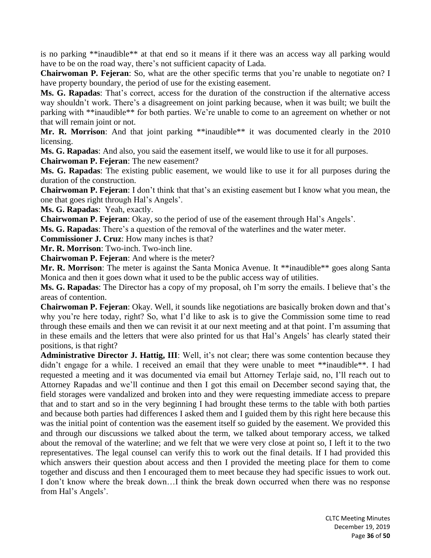is no parking \*\*inaudible\*\* at that end so it means if it there was an access way all parking would have to be on the road way, there's not sufficient capacity of Lada.

**Chairwoman P. Fejeran**: So, what are the other specific terms that you're unable to negotiate on? I have property boundary, the period of use for the existing easement.

**Ms. G. Rapadas**: That's correct, access for the duration of the construction if the alternative access way shouldn't work. There's a disagreement on joint parking because, when it was built; we built the parking with \*\*inaudible\*\* for both parties. We're unable to come to an agreement on whether or not that will remain joint or not.

Mr. R. Morrison: And that joint parking \*\*inaudible\*\* it was documented clearly in the 2010 licensing.

**Ms. G. Rapadas**: And also, you said the easement itself, we would like to use it for all purposes.

**Chairwoman P. Fejeran**: The new easement?

**Ms. G. Rapadas**: The existing public easement, we would like to use it for all purposes during the duration of the construction.

**Chairwoman P. Fejeran**: I don't think that that's an existing easement but I know what you mean, the one that goes right through Hal's Angels'.

**Ms. G. Rapadas**: Yeah, exactly.

**Chairwoman P. Fejeran**: Okay, so the period of use of the easement through Hal's Angels'.

**Ms. G. Rapadas**: There's a question of the removal of the waterlines and the water meter.

**Commissioner J. Cruz**: How many inches is that?

**Mr. R. Morrison**: Two-inch. Two-inch line.

**Chairwoman P. Fejeran**: And where is the meter?

**Mr. R. Morrison**: The meter is against the Santa Monica Avenue. It \*\*inaudible\*\* goes along Santa Monica and then it goes down what it used to be the public access way of utilities.

**Ms. G. Rapadas**: The Director has a copy of my proposal, oh I'm sorry the emails. I believe that's the areas of contention.

**Chairwoman P. Fejeran**: Okay. Well, it sounds like negotiations are basically broken down and that's why you're here today, right? So, what I'd like to ask is to give the Commission some time to read through these emails and then we can revisit it at our next meeting and at that point. I'm assuming that in these emails and the letters that were also printed for us that Hal's Angels' has clearly stated their positions, is that right?

**Administrative Director J. Hattig, III**: Well, it's not clear; there was some contention because they didn't engage for a while. I received an email that they were unable to meet \*\*inaudible\*\*. I had requested a meeting and it was documented via email but Attorney Terlaje said, no, I'll reach out to Attorney Rapadas and we'll continue and then I got this email on December second saying that, the field storages were vandalized and broken into and they were requesting immediate access to prepare that and to start and so in the very beginning I had brought these terms to the table with both parties and because both parties had differences I asked them and I guided them by this right here because this was the initial point of contention was the easement itself so guided by the easement. We provided this and through our discussions we talked about the term, we talked about temporary access, we talked about the removal of the waterline; and we felt that we were very close at point so, I left it to the two representatives. The legal counsel can verify this to work out the final details. If I had provided this which answers their question about access and then I provided the meeting place for them to come together and discuss and then I encouraged them to meet because they had specific issues to work out. I don't know where the break down…I think the break down occurred when there was no response from Hal's Angels'.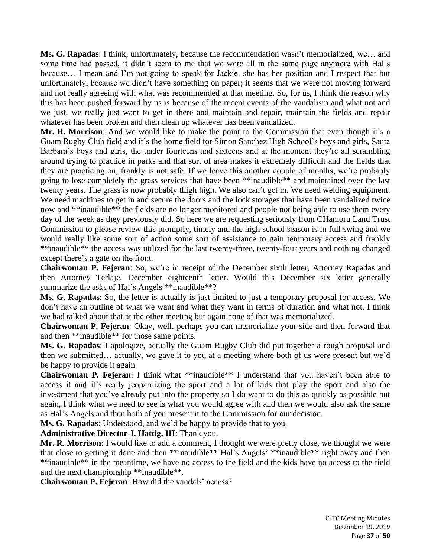**Ms. G. Rapadas**: I think, unfortunately, because the recommendation wasn't memorialized, we… and some time had passed, it didn't seem to me that we were all in the same page anymore with Hal's because… I mean and I'm not going to speak for Jackie, she has her position and I respect that but unfortunately, because we didn't have something on paper; it seems that we were not moving forward and not really agreeing with what was recommended at that meeting. So, for us, I think the reason why this has been pushed forward by us is because of the recent events of the vandalism and what not and we just, we really just want to get in there and maintain and repair, maintain the fields and repair whatever has been broken and then clean up whatever has been vandalized.

**Mr. R. Morrison**: And we would like to make the point to the Commission that even though it's a Guam Rugby Club field and it's the home field for Simon Sanchez High School's boys and girls, Santa Barbara's boys and girls, the under fourteens and sixteens and at the moment they're all scrambling around trying to practice in parks and that sort of area makes it extremely difficult and the fields that they are practicing on, frankly is not safe. If we leave this another couple of months, we're probably going to lose completely the grass services that have been \*\*inaudible\*\* and maintained over the last twenty years. The grass is now probably thigh high. We also can't get in. We need welding equipment. We need machines to get in and secure the doors and the lock storages that have been vandalized twice now and \*\*inaudible\*\* the fields are no longer monitored and people not being able to use them every day of the week as they previously did. So here we are requesting seriously from CHamoru Land Trust Commission to please review this promptly, timely and the high school season is in full swing and we would really like some sort of action some sort of assistance to gain temporary access and frankly \*\*inaudible\*\* the access was utilized for the last twenty-three, twenty-four years and nothing changed except there's a gate on the front.

**Chairwoman P. Fejeran**: So, we're in receipt of the December sixth letter, Attorney Rapadas and then Attorney Terlaje, December eighteenth letter. Would this December six letter generally summarize the asks of Hal's Angels \*\*inaudible\*\*?

**Ms. G. Rapadas**: So, the letter is actually is just limited to just a temporary proposal for access. We don't have an outline of what we want and what they want in terms of duration and what not. I think we had talked about that at the other meeting but again none of that was memorialized.

**Chairwoman P. Fejeran**: Okay, well, perhaps you can memorialize your side and then forward that and then \*\*inaudible\*\* for those same points.

**Ms. G. Rapadas**: I apologize, actually the Guam Rugby Club did put together a rough proposal and then we submitted… actually, we gave it to you at a meeting where both of us were present but we'd be happy to provide it again.

**Chairwoman P. Fejeran**: I think what \*\*inaudible\*\* I understand that you haven't been able to access it and it's really jeopardizing the sport and a lot of kids that play the sport and also the investment that you've already put into the property so I do want to do this as quickly as possible but again, I think what we need to see is what you would agree with and then we would also ask the same as Hal's Angels and then both of you present it to the Commission for our decision.

**Ms. G. Rapadas**: Understood, and we'd be happy to provide that to you.

**Administrative Director J. Hattig, III**: Thank you.

**Mr. R. Morrison**: I would like to add a comment, I thought we were pretty close, we thought we were that close to getting it done and then \*\*inaudible\*\* Hal's Angels' \*\*inaudible\*\* right away and then \*\*inaudible\*\* in the meantime, we have no access to the field and the kids have no access to the field and the next championship \*\*inaudible\*\*.

**Chairwoman P. Fejeran**: How did the vandals' access?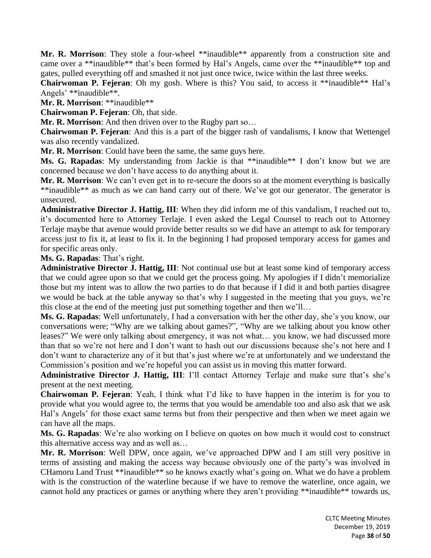**Mr. R. Morrison**: They stole a four-wheel \*\*inaudible\*\* apparently from a construction site and came over a \*\*inaudible\*\* that's been formed by Hal's Angels, came over the \*\*inaudible\*\* top and gates, pulled everything off and smashed it not just once twice, twice within the last three weeks.

**Chairwoman P. Fejeran**: Oh my gosh. Where is this? You said, to access it \*\*inaudible\*\* Hal's Angels' \*\*inaudible\*\*.

**Mr. R. Morrison**: \*\*inaudible\*\*

**Chairwoman P. Fejeran**: Oh, that side.

**Mr. R. Morrison:** And then driven over to the Rugby part so...

**Chairwoman P. Fejeran**: And this is a part of the bigger rash of vandalisms, I know that Wettengel was also recently vandalized.

**Mr. R. Morrison**: Could have been the same, the same guys here.

**Ms. G. Rapadas**: My understanding from Jackie is that \*\*inaudible\*\* I don't know but we are concerned because we don't have access to do anything about it.

**Mr. R. Morrison**: We can't even get in to re-secure the doors so at the moment everything is basically \*\*inaudible\*\* as much as we can hand carry out of there. We've got our generator. The generator is unsecured.

**Administrative Director J. Hattig, III**: When they did inform me of this vandalism, I reached out to, it's documented here to Attorney Terlaje. I even asked the Legal Counsel to reach out to Attorney Terlaje maybe that avenue would provide better results so we did have an attempt to ask for temporary access just to fix it, at least to fix it. In the beginning I had proposed temporary access for games and for specific areas only.

## **Ms. G. Rapadas**: That's right.

**Administrative Director J. Hattig, III**: Not continual use but at least some kind of temporary access that we could agree upon so that we could get the process going. My apologies if I didn't memorialize those but my intent was to allow the two parties to do that because if I did it and both parties disagree we would be back at the table anyway so that's why I suggested in the meeting that you guys, we're this close at the end of the meeting just put something together and then we'll…

**Ms. G. Rapadas**: Well unfortunately, I had a conversation with her the other day, she's you know, our conversations were; "Why are we talking about games?", "Why are we talking about you know other leases?" We were only talking about emergency, it was not what… you know, we had discussed more than that so we're not here and I don't want to hash out our discussions because she's not here and I don't want to characterize any of it but that's just where we're at unfortunately and we understand the Commission's position and we're hopeful you can assist us in moving this matter forward.

**Administrative Director J. Hattig, III**: I'll contact Attorney Terlaje and make sure that's she's present at the next meeting.

**Chairwoman P. Fejeran**: Yeah, I think what I'd like to have happen in the interim is for you to provide what you would agree to, the terms that you would be amendable too and also ask that we ask Hal's Angels' for those exact same terms but from their perspective and then when we meet again we can have all the maps.

**Ms. G. Rapadas**: We're also working on I believe on quotes on how much it would cost to construct this alternative access way and as well as…

**Mr. R. Morrison**: Well DPW, once again, we've approached DPW and I am still very positive in terms of assisting and making the access way because obviously one of the party's was involved in CHamoru Land Trust \*\*inaudible\*\* so he knows exactly what's going on. What we do have a problem with is the construction of the waterline because if we have to remove the waterline, once again, we cannot hold any practices or games or anything where they aren't providing \*\*inaudible\*\* towards us,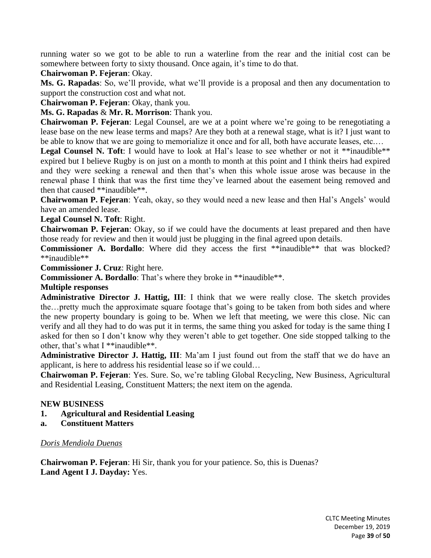running water so we got to be able to run a waterline from the rear and the initial cost can be somewhere between forty to sixty thousand. Once again, it's time to do that.

**Chairwoman P. Fejeran**: Okay.

**Ms. G. Rapadas**: So, we'll provide, what we'll provide is a proposal and then any documentation to support the construction cost and what not.

**Chairwoman P. Fejeran**: Okay, thank you.

**Ms. G. Rapadas** & **Mr. R. Morrison**: Thank you.

**Chairwoman P. Fejeran**: Legal Counsel, are we at a point where we're going to be renegotiating a lease base on the new lease terms and maps? Are they both at a renewal stage, what is it? I just want to be able to know that we are going to memorialize it once and for all, both have accurate leases, etc....

Legal Counsel N. Toft: I would have to look at Hal's lease to see whether or not it \*\*inaudible\*\* expired but I believe Rugby is on just on a month to month at this point and I think theirs had expired and they were seeking a renewal and then that's when this whole issue arose was because in the renewal phase I think that was the first time they've learned about the easement being removed and then that caused \*\*inaudible\*\*.

**Chairwoman P. Fejeran**: Yeah, okay, so they would need a new lease and then Hal's Angels' would have an amended lease.

**Legal Counsel N. Toft**: Right.

**Chairwoman P. Fejeran**: Okay, so if we could have the documents at least prepared and then have those ready for review and then it would just be plugging in the final agreed upon details.

**Commissioner A. Bordallo**: Where did they access the first \*\*inaudible\*\* that was blocked? \*\*inaudible\*\*

**Commissioner J. Cruz**: Right here.

**Commissioner A. Bordallo**: That's where they broke in \*\*inaudible\*\*.

## **Multiple responses**

**Administrative Director J. Hattig, III**: I think that we were really close. The sketch provides the…pretty much the approximate square footage that's going to be taken from both sides and where the new property boundary is going to be. When we left that meeting, we were this close. Nic can verify and all they had to do was put it in terms, the same thing you asked for today is the same thing I asked for then so I don't know why they weren't able to get together. One side stopped talking to the other, that's what I \*\*inaudible\*\*.

**Administrative Director J. Hattig, III**: Ma'am I just found out from the staff that we do have an applicant, is here to address his residential lease so if we could…

**Chairwoman P. Fejeran**: Yes. Sure. So, we're tabling Global Recycling, New Business, Agricultural and Residential Leasing, Constituent Matters; the next item on the agenda.

## **NEW BUSINESS**

- **1. Agricultural and Residential Leasing**
- **a. Constituent Matters**

## *Doris Mendiola Duenas*

**Chairwoman P. Fejeran**: Hi Sir, thank you for your patience. So, this is Duenas? **Land Agent I J. Dayday:** Yes.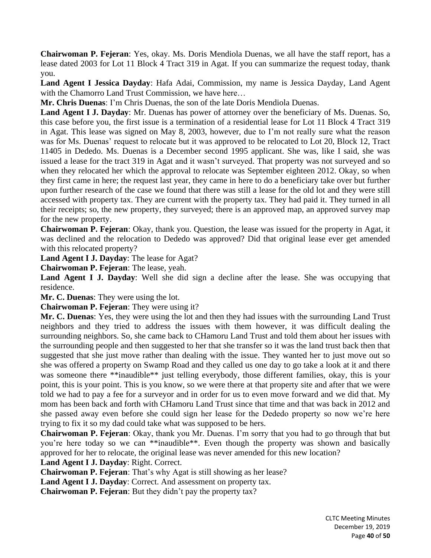**Chairwoman P. Fejeran**: Yes, okay. Ms. Doris Mendiola Duenas, we all have the staff report, has a lease dated 2003 for Lot 11 Block 4 Tract 319 in Agat. If you can summarize the request today, thank you.

**Land Agent I Jessica Dayday**: Hafa Adai, Commission, my name is Jessica Dayday, Land Agent with the Chamorro Land Trust Commission, we have here...

**Mr. Chris Duenas**: I'm Chris Duenas, the son of the late Doris Mendiola Duenas.

**Land Agent I J. Dayday**: Mr. Duenas has power of attorney over the beneficiary of Ms. Duenas. So, this case before you, the first issue is a termination of a residential lease for Lot 11 Block 4 Tract 319 in Agat. This lease was signed on May 8, 2003, however, due to I'm not really sure what the reason was for Ms. Duenas' request to relocate but it was approved to be relocated to Lot 20, Block 12, Tract 11405 in Dededo. Ms. Duenas is a December second 1995 applicant. She was, like I said, she was issued a lease for the tract 319 in Agat and it wasn't surveyed. That property was not surveyed and so when they relocated her which the approval to relocate was September eighteen 2012. Okay, so when they first came in here; the request last year, they came in here to do a beneficiary take over but further upon further research of the case we found that there was still a lease for the old lot and they were still accessed with property tax. They are current with the property tax. They had paid it. They turned in all their receipts; so, the new property, they surveyed; there is an approved map, an approved survey map for the new property.

**Chairwoman P. Fejeran**: Okay, thank you. Question, the lease was issued for the property in Agat, it was declined and the relocation to Dededo was approved? Did that original lease ever get amended with this relocated property?

**Land Agent I J. Dayday**: The lease for Agat?

**Chairwoman P. Fejeran**: The lease, yeah.

**Land Agent I J. Dayday**: Well she did sign a decline after the lease. She was occupying that residence.

**Mr. C. Duenas**: They were using the lot.

**Chairwoman P. Fejeran**: They were using it?

**Mr. C. Duenas**: Yes, they were using the lot and then they had issues with the surrounding Land Trust neighbors and they tried to address the issues with them however, it was difficult dealing the surrounding neighbors. So, she came back to CHamoru Land Trust and told them about her issues with the surrounding people and then suggested to her that she transfer so it was the land trust back then that suggested that she just move rather than dealing with the issue. They wanted her to just move out so she was offered a property on Swamp Road and they called us one day to go take a look at it and there was someone there \*\*inaudible\*\* just telling everybody, those different families, okay, this is your point, this is your point. This is you know, so we were there at that property site and after that we were told we had to pay a fee for a surveyor and in order for us to even move forward and we did that. My mom has been back and forth with CHamoru Land Trust since that time and that was back in 2012 and she passed away even before she could sign her lease for the Dededo property so now we're here trying to fix it so my dad could take what was supposed to be hers.

**Chairwoman P. Fejeran**: Okay, thank you Mr. Duenas. I'm sorry that you had to go through that but you're here today so we can \*\*inaudible\*\*. Even though the property was shown and basically approved for her to relocate, the original lease was never amended for this new location?

**Land Agent I J. Dayday**: Right. Correct.

**Chairwoman P. Fejeran**: That's why Agat is still showing as her lease?

**Land Agent I J. Dayday**: Correct. And assessment on property tax.

**Chairwoman P. Fejeran**: But they didn't pay the property tax?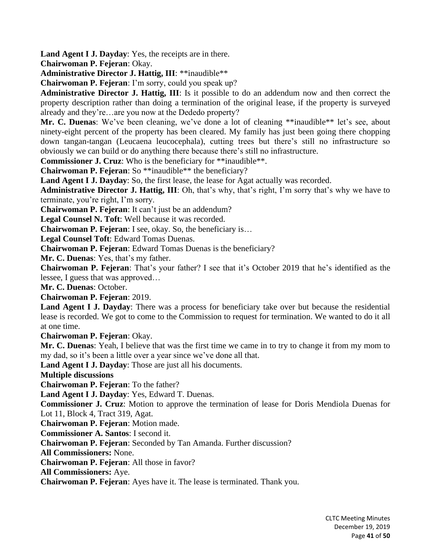**Land Agent I J. Dayday**: Yes, the receipts are in there.

**Chairwoman P. Fejeran**: Okay.

**Administrative Director J. Hattig, III**: \*\*inaudible\*\*

**Chairwoman P. Fejeran**: I'm sorry, could you speak up?

**Administrative Director J. Hattig, III**: Is it possible to do an addendum now and then correct the property description rather than doing a termination of the original lease, if the property is surveyed already and they're…are you now at the Dededo property?

**Mr. C. Duenas**: We've been cleaning, we've done a lot of cleaning \*\*inaudible\*\* let's see, about ninety-eight percent of the property has been cleared. My family has just been going there chopping down tangan-tangan (Leucaena leucocephala), cutting trees but there's still no infrastructure so obviously we can build or do anything there because there's still no infrastructure.

**Commissioner J. Cruz**: Who is the beneficiary for \*\*inaudible\*\*.

**Chairwoman P. Fejeran**: So \*\*inaudible\*\* the beneficiary?

**Land Agent I J. Dayday**: So, the first lease, the lease for Agat actually was recorded.

**Administrative Director J. Hattig, III**: Oh, that's why, that's right, I'm sorry that's why we have to terminate, you're right, I'm sorry.

**Chairwoman P. Fejeran**: It can't just be an addendum?

**Legal Counsel N. Toft**: Well because it was recorded.

**Chairwoman P. Fejeran**: I see, okay. So, the beneficiary is…

**Legal Counsel Toft**: Edward Tomas Duenas.

**Chairwoman P. Fejeran**: Edward Tomas Duenas is the beneficiary?

**Mr. C. Duenas**: Yes, that's my father.

**Chairwoman P. Fejeran**: That's your father? I see that it's October 2019 that he's identified as the lessee, I guess that was approved…

**Mr. C. Duenas**: October.

**Chairwoman P. Fejeran**: 2019.

**Land Agent I J. Dayday**: There was a process for beneficiary take over but because the residential lease is recorded. We got to come to the Commission to request for termination. We wanted to do it all at one time.

**Chairwoman P. Fejeran**: Okay.

**Mr. C. Duenas**: Yeah, I believe that was the first time we came in to try to change it from my mom to my dad, so it's been a little over a year since we've done all that.

**Land Agent I J. Dayday**: Those are just all his documents.

**Multiple discussions**

**Chairwoman P. Fejeran**: To the father?

**Land Agent I J. Dayday**: Yes, Edward T. Duenas.

**Commissioner J. Cruz**: Motion to approve the termination of lease for Doris Mendiola Duenas for Lot 11, Block 4, Tract 319, Agat.

**Chairwoman P. Fejeran**: Motion made.

**Commissioner A. Santos**: I second it.

**Chairwoman P. Fejeran**: Seconded by Tan Amanda. Further discussion?

**All Commissioners:** None.

**Chairwoman P. Fejeran**: All those in favor?

**All Commissioners:** Aye.

**Chairwoman P. Fejeran**: Ayes have it. The lease is terminated. Thank you.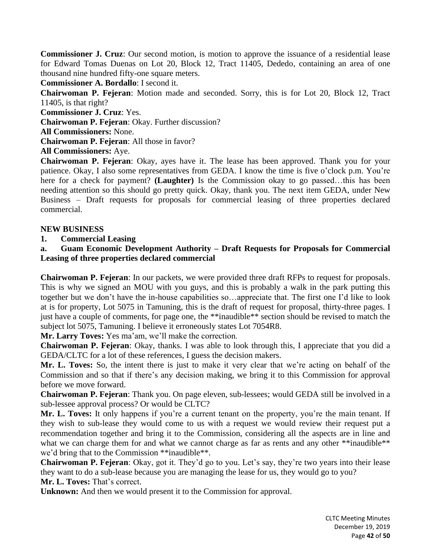**Commissioner J. Cruz**: Our second motion, is motion to approve the issuance of a residential lease for Edward Tomas Duenas on Lot 20, Block 12, Tract 11405, Dededo, containing an area of one thousand nine hundred fifty-one square meters.

**Commissioner A. Bordallo**: I second it.

**Chairwoman P. Fejeran**: Motion made and seconded. Sorry, this is for Lot 20, Block 12, Tract 11405, is that right?

**Commissioner J. Cruz**: Yes.

**Chairwoman P. Fejeran**: Okay. Further discussion?

**All Commissioners:** None.

**Chairwoman P. Fejeran**: All those in favor?

**All Commissioners:** Aye.

**Chairwoman P. Fejeran**: Okay, ayes have it. The lease has been approved. Thank you for your patience. Okay, I also some representatives from GEDA. I know the time is five o'clock p.m. You're here for a check for payment? **(Laughter)** Is the Commission okay to go passed…this has been needing attention so this should go pretty quick. Okay, thank you. The next item GEDA, under New Business – Draft requests for proposals for commercial leasing of three properties declared commercial.

## **NEW BUSINESS**

**1. Commercial Leasing**

**a. Guam Economic Development Authority – Draft Requests for Proposals for Commercial Leasing of three properties declared commercial**

**Chairwoman P. Fejeran**: In our packets, we were provided three draft RFPs to request for proposals. This is why we signed an MOU with you guys, and this is probably a walk in the park putting this together but we don't have the in-house capabilities so…appreciate that. The first one I'd like to look at is for property, Lot 5075 in Tamuning, this is the draft of request for proposal, thirty-three pages. I just have a couple of comments, for page one, the \*\*inaudible\*\* section should be revised to match the subject lot 5075, Tamuning. I believe it erroneously states Lot 7054R8.

**Mr. Larry Toves:** Yes ma'am, we'll make the correction.

**Chairwoman P. Fejeran**: Okay, thanks. I was able to look through this, I appreciate that you did a GEDA/CLTC for a lot of these references, I guess the decision makers.

**Mr. L. Toves:** So, the intent there is just to make it very clear that we're acting on behalf of the Commission and so that if there's any decision making, we bring it to this Commission for approval before we move forward.

**Chairwoman P. Fejeran**: Thank you. On page eleven, sub-lessees; would GEDA still be involved in a sub-lessee approval process? Or would be CLTC?

**Mr. L. Toves:** It only happens if you're a current tenant on the property, you're the main tenant. If they wish to sub-lease they would come to us with a request we would review their request put a recommendation together and bring it to the Commission, considering all the aspects are in line and what we can charge them for and what we cannot charge as far as rents and any other \*\*inaudible\*\* we'd bring that to the Commission \*\*inaudible\*\*.

**Chairwoman P. Fejeran**: Okay, got it. They'd go to you. Let's say, they're two years into their lease they want to do a sub-lease because you are managing the lease for us, they would go to you? **Mr. L. Toves:** That's correct.

**Unknown:** And then we would present it to the Commission for approval.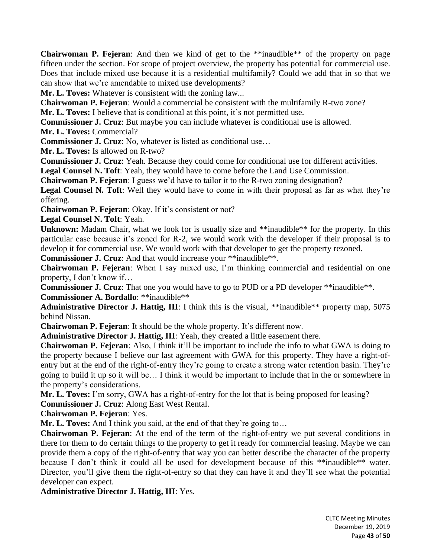**Chairwoman P. Fejeran**: And then we kind of get to the \*\*inaudible\*\* of the property on page fifteen under the section. For scope of project overview, the property has potential for commercial use. Does that include mixed use because it is a residential multifamily? Could we add that in so that we can show that we're amendable to mixed use developments?

**Mr. L. Toves:** Whatever is consistent with the zoning law...

**Chairwoman P. Fejeran**: Would a commercial be consistent with the multifamily R-two zone?

**Mr. L. Toves:** I believe that is conditional at this point, it's not permitted use.

**Commissioner J. Cruz**: But maybe you can include whatever is conditional use is allowed.

**Mr. L. Toves:** Commercial?

**Commissioner J. Cruz**: No, whatever is listed as conditional use…

**Mr. L. Toves:** Is allowed on R-two?

**Commissioner J. Cruz**: Yeah. Because they could come for conditional use for different activities.

**Legal Counsel N. Toft**: Yeah, they would have to come before the Land Use Commission.

**Chairwoman P. Fejeran**: I guess we'd have to tailor it to the R-two zoning designation?

**Legal Counsel N. Toft**: Well they would have to come in with their proposal as far as what they're offering.

**Chairwoman P. Fejeran**: Okay. If it's consistent or not?

**Legal Counsel N. Toft**: Yeah.

**Unknown:** Madam Chair, what we look for is usually size and \*\*inaudible\*\* for the property. In this particular case because it's zoned for R-2, we would work with the developer if their proposal is to develop it for commercial use. We would work with that developer to get the property rezoned.

**Commissioner J. Cruz**: And that would increase your \*\*inaudible\*\*.

**Chairwoman P. Fejeran**: When I say mixed use, I'm thinking commercial and residential on one property, I don't know if…

**Commissioner J. Cruz**: That one you would have to go to PUD or a PD developer \*\*inaudible\*\*. **Commissioner A. Bordallo**: \*\*inaudible\*\*

**Administrative Director J. Hattig, III**: I think this is the visual, \*\*inaudible\*\* property map, 5075 behind Nissan.

**Chairwoman P. Fejeran**: It should be the whole property. It's different now.

**Administrative Director J. Hattig, III**: Yeah, they created a little easement there.

**Chairwoman P. Fejeran**: Also, I think it'll be important to include the info to what GWA is doing to the property because I believe our last agreement with GWA for this property. They have a right-ofentry but at the end of the right-of-entry they're going to create a strong water retention basin. They're going to build it up so it will be… I think it would be important to include that in the or somewhere in the property's considerations.

**Mr. L. Toves:** I'm sorry, GWA has a right-of-entry for the lot that is being proposed for leasing?

**Commissioner J. Cruz**: Along East West Rental.

**Chairwoman P. Fejeran**: Yes.

**Mr. L. Toves:** And I think you said, at the end of that they're going to...

**Chairwoman P. Fejeran**: At the end of the term of the right-of-entry we put several conditions in there for them to do certain things to the property to get it ready for commercial leasing. Maybe we can provide them a copy of the right-of-entry that way you can better describe the character of the property because I don't think it could all be used for development because of this \*\*inaudible\*\* water. Director, you'll give them the right-of-entry so that they can have it and they'll see what the potential developer can expect.

**Administrative Director J. Hattig, III**: Yes.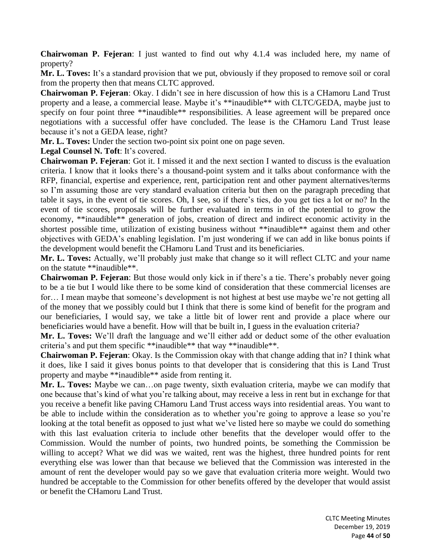**Chairwoman P. Fejeran**: I just wanted to find out why 4.1.4 was included here, my name of property?

**Mr. L. Toves:** It's a standard provision that we put, obviously if they proposed to remove soil or coral from the property then that means CLTC approved.

**Chairwoman P. Fejeran**: Okay. I didn't see in here discussion of how this is a CHamoru Land Trust property and a lease, a commercial lease. Maybe it's \*\*inaudible\*\* with CLTC/GEDA, maybe just to specify on four point three \*\*inaudible\*\* responsibilities. A lease agreement will be prepared once negotiations with a successful offer have concluded. The lease is the CHamoru Land Trust lease because it's not a GEDA lease, right?

**Mr. L. Toves:** Under the section two-point six point one on page seven.

**Legal Counsel N. Toft**: It's covered.

**Chairwoman P. Fejeran**: Got it. I missed it and the next section I wanted to discuss is the evaluation criteria. I know that it looks there's a thousand-point system and it talks about conformance with the RFP, financial, expertise and experience, rent, participation rent and other payment alternatives/terms so I'm assuming those are very standard evaluation criteria but then on the paragraph preceding that table it says, in the event of tie scores. Oh, I see, so if there's ties, do you get ties a lot or no? In the event of tie scores, proposals will be further evaluated in terms in of the potential to grow the economy, \*\*inaudible\*\* generation of jobs, creation of direct and indirect economic activity in the shortest possible time, utilization of existing business without \*\*inaudible\*\* against them and other objectives with GEDA's enabling legislation. I'm just wondering if we can add in like bonus points if the development would benefit the CHamoru Land Trust and its beneficiaries.

**Mr. L. Toves:** Actually, we'll probably just make that change so it will reflect CLTC and your name on the statute \*\*inaudible\*\*.

**Chairwoman P. Fejeran**: But those would only kick in if there's a tie. There's probably never going to be a tie but I would like there to be some kind of consideration that these commercial licenses are for… I mean maybe that someone's development is not highest at best use maybe we're not getting all of the money that we possibly could but I think that there is some kind of benefit for the program and our beneficiaries, I would say, we take a little bit of lower rent and provide a place where our beneficiaries would have a benefit. How will that be built in, I guess in the evaluation criteria?

**Mr. L. Toves:** We'll draft the language and we'll either add or deduct some of the other evaluation criteria's and put them specific \*\*inaudible\*\* that way \*\*inaudible\*\*.

**Chairwoman P. Fejeran**: Okay. Is the Commission okay with that change adding that in? I think what it does, like I said it gives bonus points to that developer that is considering that this is Land Trust property and maybe \*\*inaudible\*\* aside from renting it.

**Mr. L. Toves:** Maybe we can…on page twenty, sixth evaluation criteria, maybe we can modify that one because that's kind of what you're talking about, may receive a less in rent but in exchange for that you receive a benefit like paving CHamoru Land Trust access ways into residential areas. You want to be able to include within the consideration as to whether you're going to approve a lease so you're looking at the total benefit as opposed to just what we've listed here so maybe we could do something with this last evaluation criteria to include other benefits that the developer would offer to the Commission. Would the number of points, two hundred points, be something the Commission be willing to accept? What we did was we waited, rent was the highest, three hundred points for rent everything else was lower than that because we believed that the Commission was interested in the amount of rent the developer would pay so we gave that evaluation criteria more weight. Would two hundred be acceptable to the Commission for other benefits offered by the developer that would assist or benefit the CHamoru Land Trust.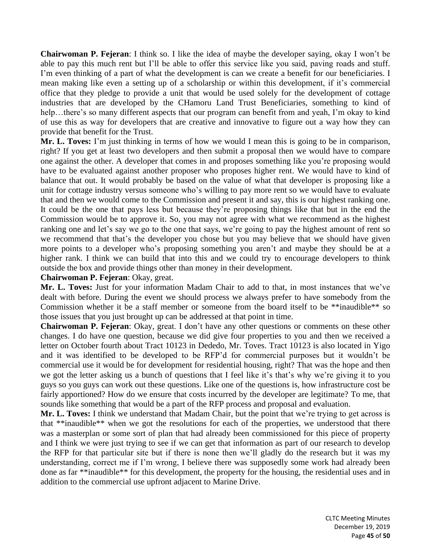**Chairwoman P. Fejeran**: I think so. I like the idea of maybe the developer saying, okay I won't be able to pay this much rent but I'll be able to offer this service like you said, paving roads and stuff. I'm even thinking of a part of what the development is can we create a benefit for our beneficiaries. I mean making like even a setting up of a scholarship or within this development, if it's commercial office that they pledge to provide a unit that would be used solely for the development of cottage industries that are developed by the CHamoru Land Trust Beneficiaries, something to kind of help…there's so many different aspects that our program can benefit from and yeah, I'm okay to kind of use this as way for developers that are creative and innovative to figure out a way how they can provide that benefit for the Trust.

**Mr. L. Toves:** I'm just thinking in terms of how we would I mean this is going to be in comparison, right? If you get at least two developers and then submit a proposal then we would have to compare one against the other. A developer that comes in and proposes something like you're proposing would have to be evaluated against another proposer who proposes higher rent. We would have to kind of balance that out. It would probably be based on the value of what that developer is proposing like a unit for cottage industry versus someone who's willing to pay more rent so we would have to evaluate that and then we would come to the Commission and present it and say, this is our highest ranking one. It could be the one that pays less but because they're proposing things like that but in the end the Commission would be to approve it. So, you may not agree with what we recommend as the highest ranking one and let's say we go to the one that says, we're going to pay the highest amount of rent so we recommend that that's the developer you chose but you may believe that we should have given more points to a developer who's proposing something you aren't and maybe they should be at a higher rank. I think we can build that into this and we could try to encourage developers to think outside the box and provide things other than money in their development.

## **Chairwoman P. Fejeran**: Okay, great.

**Mr. L. Toves:** Just for your information Madam Chair to add to that, in most instances that we've dealt with before. During the event we should process we always prefer to have somebody from the Commission whether it be a staff member or someone from the board itself to be \*\*inaudible\*\* so those issues that you just brought up can be addressed at that point in time.

**Chairwoman P. Fejeran**: Okay, great. I don't have any other questions or comments on these other changes. I do have one question, because we did give four properties to you and then we received a letter on October fourth about Tract 10123 in Dededo, Mr. Toves. Tract 10123 is also located in Yigo and it was identified to be developed to be RFP'd for commercial purposes but it wouldn't be commercial use it would be for development for residential housing, right? That was the hope and then we got the letter asking us a bunch of questions that I feel like it's that's why we're giving it to you guys so you guys can work out these questions. Like one of the questions is, how infrastructure cost be fairly apportioned? How do we ensure that costs incurred by the developer are legitimate? To me, that sounds like something that would be a part of the RFP process and proposal and evaluation.

**Mr. L. Toves:** I think we understand that Madam Chair, but the point that we're trying to get across is that \*\*inaudible\*\* when we got the resolutions for each of the properties, we understood that there was a masterplan or some sort of plan that had already been commissioned for this piece of property and I think we were just trying to see if we can get that information as part of our research to develop the RFP for that particular site but if there is none then we'll gladly do the research but it was my understanding, correct me if I'm wrong, I believe there was supposedly some work had already been done as far \*\*inaudible\*\* for this development, the property for the housing, the residential uses and in addition to the commercial use upfront adjacent to Marine Drive.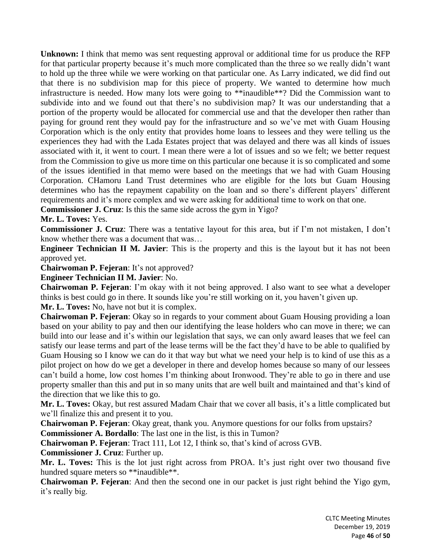**Unknown:** I think that memo was sent requesting approval or additional time for us produce the RFP for that particular property because it's much more complicated than the three so we really didn't want to hold up the three while we were working on that particular one. As Larry indicated, we did find out that there is no subdivision map for this piece of property. We wanted to determine how much infrastructure is needed. How many lots were going to \*\*inaudible\*\*? Did the Commission want to subdivide into and we found out that there's no subdivision map? It was our understanding that a portion of the property would be allocated for commercial use and that the developer then rather than paying for ground rent they would pay for the infrastructure and so we've met with Guam Housing Corporation which is the only entity that provides home loans to lessees and they were telling us the experiences they had with the Lada Estates project that was delayed and there was all kinds of issues associated with it, it went to court. I mean there were a lot of issues and so we felt; we better request from the Commission to give us more time on this particular one because it is so complicated and some of the issues identified in that memo were based on the meetings that we had with Guam Housing Corporation. CHamoru Land Trust determines who are eligible for the lots but Guam Housing determines who has the repayment capability on the loan and so there's different players' different requirements and it's more complex and we were asking for additional time to work on that one.

**Commissioner J. Cruz**: Is this the same side across the gym in Yigo?

**Mr. L. Toves:** Yes.

**Commissioner J. Cruz**: There was a tentative layout for this area, but if I'm not mistaken, I don't know whether there was a document that was…

**Engineer Technician II M. Javier**: This is the property and this is the layout but it has not been approved yet.

**Chairwoman P. Fejeran**: It's not approved?

**Engineer Technician II M. Javier**: No.

**Chairwoman P. Fejeran**: I'm okay with it not being approved. I also want to see what a developer thinks is best could go in there. It sounds like you're still working on it, you haven't given up.

**Mr. L. Toves:** No, have not but it is complex.

**Chairwoman P. Fejeran**: Okay so in regards to your comment about Guam Housing providing a loan based on your ability to pay and then our identifying the lease holders who can move in there; we can build into our lease and it's within our legislation that says, we can only award leases that we feel can satisfy our lease terms and part of the lease terms will be the fact they'd have to be able to qualified by Guam Housing so I know we can do it that way but what we need your help is to kind of use this as a pilot project on how do we get a developer in there and develop homes because so many of our lessees can't build a home, low cost homes I'm thinking about Ironwood. They're able to go in there and use property smaller than this and put in so many units that are well built and maintained and that's kind of the direction that we like this to go.

**Mr. L. Toves:** Okay, but rest assured Madam Chair that we cover all basis, it's a little complicated but we'll finalize this and present it to you.

**Chairwoman P. Fejeran**: Okay great, thank you. Anymore questions for our folks from upstairs? **Commissioner A. Bordallo**: The last one in the list, is this in Tumon?

**Chairwoman P. Fejeran**: Tract 111, Lot 12, I think so, that's kind of across GVB.

**Commissioner J. Cruz**: Further up.

**Mr. L. Toves:** This is the lot just right across from PROA. It's just right over two thousand five hundred square meters so \*\*inaudible\*\*.

**Chairwoman P. Fejeran**: And then the second one in our packet is just right behind the Yigo gym, it's really big.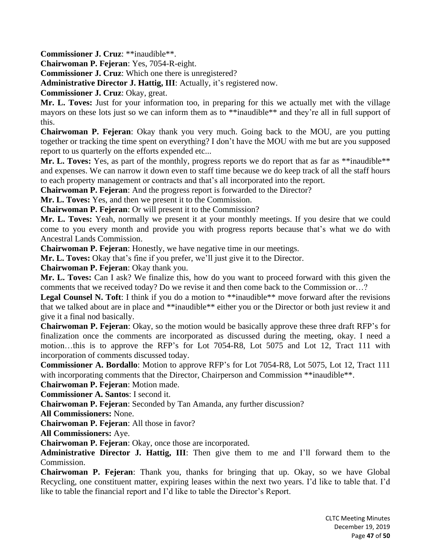**Commissioner J. Cruz**: \*\*inaudible\*\*.

**Chairwoman P. Fejeran**: Yes, 7054-R-eight.

**Commissioner J. Cruz**: Which one there is unregistered?

**Administrative Director J. Hattig, III**: Actually, it's registered now.

**Commissioner J. Cruz**: Okay, great.

**Mr. L. Toves:** Just for your information too, in preparing for this we actually met with the village mayors on these lots just so we can inform them as to \*\*inaudible\*\* and they're all in full support of this.

**Chairwoman P. Fejeran**: Okay thank you very much. Going back to the MOU, are you putting together or tracking the time spent on everything? I don't have the MOU with me but are you supposed report to us quarterly on the efforts expended etc...

**Mr. L. Toves:** Yes, as part of the monthly, progress reports we do report that as far as \*\*inaudible\*\* and expenses. We can narrow it down even to staff time because we do keep track of all the staff hours to each property management or contracts and that's all incorporated into the report.

**Chairwoman P. Fejeran**: And the progress report is forwarded to the Director?

**Mr. L. Toves:** Yes, and then we present it to the Commission.

**Chairwoman P. Fejeran**: Or will present it to the Commission?

**Mr. L. Toves:** Yeah, normally we present it at your monthly meetings. If you desire that we could come to you every month and provide you with progress reports because that's what we do with Ancestral Lands Commission.

**Chairwoman P. Fejeran**: Honestly, we have negative time in our meetings.

**Mr. L. Toves:** Okay that's fine if you prefer, we'll just give it to the Director.

**Chairwoman P. Fejeran**: Okay thank you.

**Mr. L. Toves:** Can I ask? We finalize this, how do you want to proceed forward with this given the comments that we received today? Do we revise it and then come back to the Commission or…?

**Legal Counsel N. Toft**: I think if you do a motion to \*\*inaudible\*\* move forward after the revisions that we talked about are in place and \*\*inaudible\*\* either you or the Director or both just review it and give it a final nod basically.

**Chairwoman P. Fejeran**: Okay, so the motion would be basically approve these three draft RFP's for finalization once the comments are incorporated as discussed during the meeting, okay. I need a motion…this is to approve the RFP's for Lot 7054-R8, Lot 5075 and Lot 12, Tract 111 with incorporation of comments discussed today.

**Commissioner A. Bordallo**: Motion to approve RFP's for Lot 7054-R8, Lot 5075, Lot 12, Tract 111 with incorporating comments that the Director, Chairperson and Commission \*\*inaudible\*\*.

**Chairwoman P. Fejeran**: Motion made.

**Commissioner A. Santos**: I second it.

**Chairwoman P. Fejeran**: Seconded by Tan Amanda, any further discussion?

**All Commissioners:** None.

**Chairwoman P. Fejeran**: All those in favor?

**All Commissioners:** Aye.

**Chairwoman P. Fejeran**: Okay, once those are incorporated.

**Administrative Director J. Hattig, III**: Then give them to me and I'll forward them to the Commission.

**Chairwoman P. Fejeran**: Thank you, thanks for bringing that up. Okay, so we have Global Recycling, one constituent matter, expiring leases within the next two years. I'd like to table that. I'd like to table the financial report and I'd like to table the Director's Report.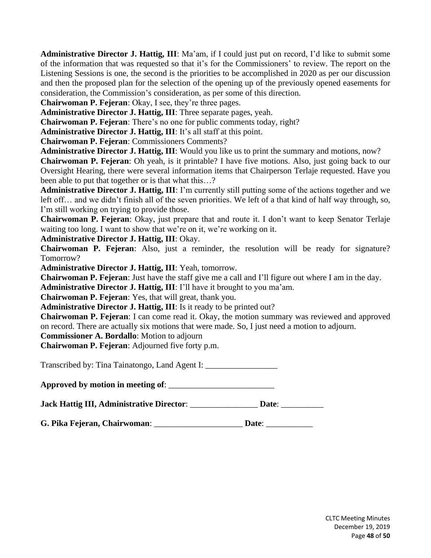**Administrative Director J. Hattig, III**: Ma'am, if I could just put on record, I'd like to submit some of the information that was requested so that it's for the Commissioners' to review. The report on the Listening Sessions is one, the second is the priorities to be accomplished in 2020 as per our discussion and then the proposed plan for the selection of the opening up of the previously opened easements for consideration, the Commission's consideration, as per some of this direction.

**Chairwoman P. Fejeran**: Okay, I see, they're three pages.

**Administrative Director J. Hattig, III**: Three separate pages, yeah.

**Chairwoman P. Fejeran**: There's no one for public comments today, right?

**Administrative Director J. Hattig, III**: It's all staff at this point.

**Chairwoman P. Fejeran**: Commissioners Comments?

**Administrative Director J. Hattig, III**: Would you like us to print the summary and motions, now?

**Chairwoman P. Fejeran**: Oh yeah, is it printable? I have five motions. Also, just going back to our Oversight Hearing, there were several information items that Chairperson Terlaje requested. Have you been able to put that together or is that what this…?

**Administrative Director J. Hattig, III**: I'm currently still putting some of the actions together and we left off… and we didn't finish all of the seven priorities. We left of a that kind of half way through, so, I'm still working on trying to provide those.

**Chairwoman P. Fejeran**: Okay, just prepare that and route it. I don't want to keep Senator Terlaje waiting too long. I want to show that we're on it, we're working on it.

**Administrative Director J. Hattig, III**: Okay.

**Chairwoman P. Fejeran**: Also, just a reminder, the resolution will be ready for signature? Tomorrow?

**Administrative Director J. Hattig, III**: Yeah, tomorrow.

**Chairwoman P. Fejeran**: Just have the staff give me a call and I'll figure out where I am in the day.

**Administrative Director J. Hattig, III**: I'll have it brought to you ma'am.

**Chairwoman P. Fejeran**: Yes, that will great, thank you.

**Administrative Director J. Hattig, III**: Is it ready to be printed out?

**Chairwoman P. Fejeran**: I can come read it. Okay, the motion summary was reviewed and approved on record. There are actually six motions that were made. So, I just need a motion to adjourn.

**Commissioner A. Bordallo**: Motion to adjourn

**Chairwoman P. Fejeran**: Adjourned five forty p.m.

Transcribed by: Tina Tainatongo, Land Agent I: \_\_\_\_\_\_\_\_\_\_\_\_\_\_\_\_\_

**Approved by motion in meeting of**: \_\_\_\_\_\_\_\_\_\_\_\_\_\_\_\_\_\_\_\_\_\_\_\_\_

**Jack Hattig III, Administrative Director**: \_\_\_\_\_\_\_\_\_\_\_\_\_\_\_\_ **Date**: \_\_\_\_\_\_\_\_\_\_

**G. Pika Fejeran, Chairwoman**: \_\_\_\_\_\_\_\_\_\_\_\_\_\_\_\_\_\_\_\_\_ **Date**: \_\_\_\_\_\_\_\_\_\_\_